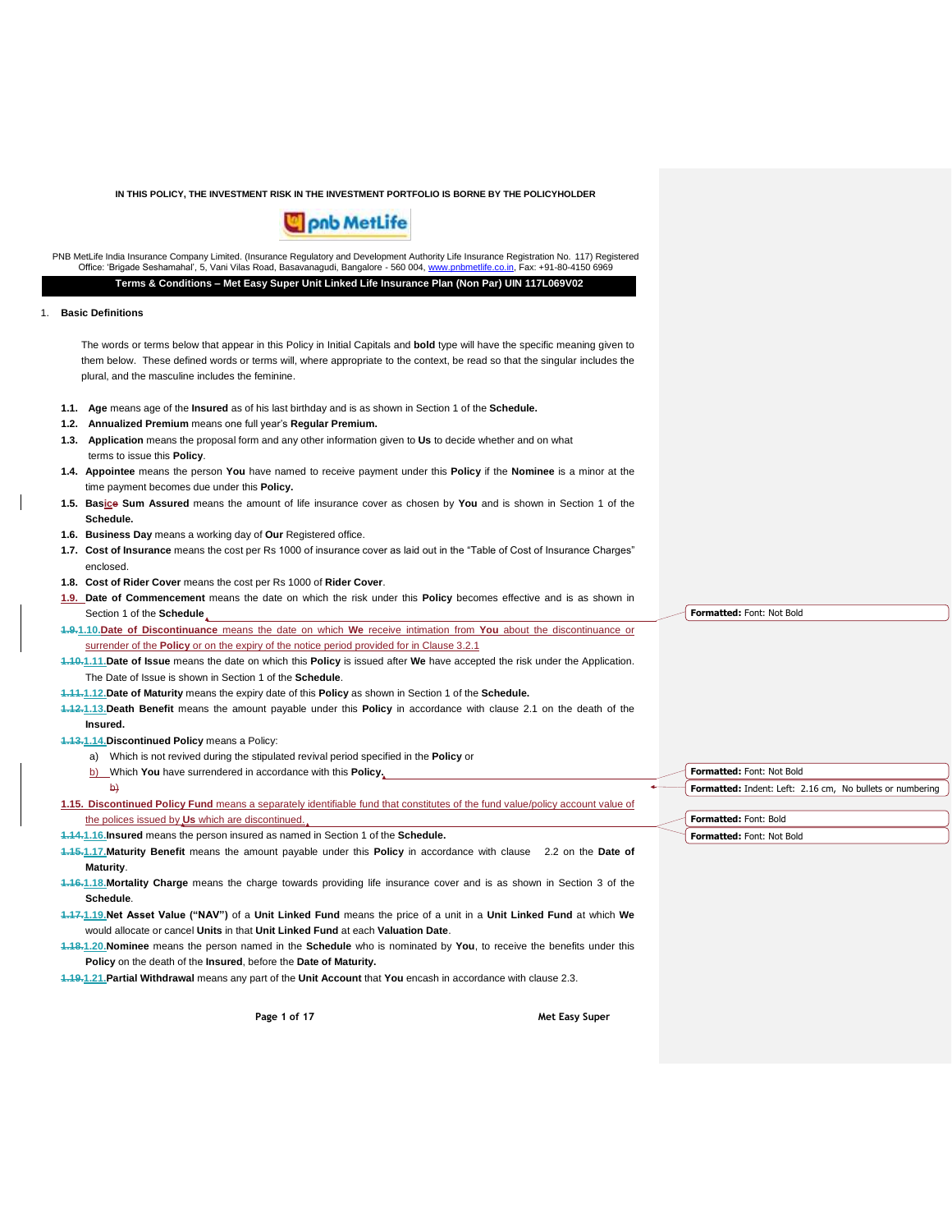

PNB MetLife India Insurance Company Limited. (Insurance Regulatory and Development Authority Life Insurance Registration No. 117) Registered<br>Office: 'Brigade Seshamahal', 5, Vani Vilas Road, Basavanagudi, Bangalore - 560 0 **Terms & Conditions – Met Easy Super Unit Linked Life Insurance Plan (Non Par) UIN 117L069V02**

## 1. **Basic Definitions**

The words or terms below that appear in this Policy in Initial Capitals and **bold** type will have the specific meaning given to them below. These defined words or terms will, where appropriate to the context, be read so that the singular includes the plural, and the masculine includes the feminine.

- **1.1. Age** means age of the **Insured** as of his last birthday and is as shown in Section 1 of the **Schedule.**
- **1.2. Annualized Premium** means one full year's **Regular Premium.**
- **1.3. Application** means the proposal form and any other information given to **Us** to decide whether and on what terms to issue this **Policy**.
- **1.4. Appointee** means the person **You** have named to receive payment under this **Policy** if the **Nominee** is a minor at the time payment becomes due under this **Policy.**
- **1.5. Basice Sum Assured** means the amount of life insurance cover as chosen by **You** and is shown in Section 1 of the **Schedule.**
- **1.6. Business Day** means a working day of **Our** Registered office.
- **1.7. Cost of Insurance** means the cost per Rs 1000 of insurance cover as laid out in the "Table of Cost of Insurance Charges" enclosed.
- **1.8. Cost of Rider Cover** means the cost per Rs 1000 of **Rider Cover**.
- **1.9. Date of Commencement** means the date on which the risk under this **Policy** becomes effective and is as shown in Section 1 of the **Schedule**
- **1.9.1.10.Date of Discontinuance** means the date on which **We** receive intimation from **You** about the discontinuance or surrender of the **Policy** or on the expiry of the notice period provided for in Clause 3.2.1
- **1.10.1.11.Date of Issue** means the date on which this **Policy** is issued after **We** have accepted the risk under the Application. The Date of Issue is shown in Section 1 of the **Schedule**.
- **1.11.1.12.Date of Maturity** means the expiry date of this **Policy** as shown in Section 1 of the **Schedule.**
- **1.12.1.13.Death Benefit** means the amount payable under this **Policy** in accordance with clause 2.1 on the death of the **Insured.**

**1.13.1.14.Discontinued Policy** means a Policy:

b)

- a) Which is not revived during the stipulated revival period specified in the **Policy** or
- b) Which **You** have surrendered in accordance with this **Policy.**

**1.15. Discontinued Policy Fund** means a separately identifiable fund that constitutes of the fund value/policy account value of the polices issued by **Us** which are discontinued.

**1.14.1.16.Insured** means the person insured as named in Section 1 of the **Schedule.**

**1.15.1.17.Maturity Benefit** means the amount payable under this **Policy** in accordance with clause 2.2 on the **Date of Maturity**.

**1.16.1.18.Mortality Charge** means the charge towards providing life insurance cover and is as shown in Section 3 of the **Schedule**.

**1.17.1.19.Net Asset Value ("NAV")** of a **Unit Linked Fund** means the price of a unit in a **Unit Linked Fund** at which **We** would allocate or cancel **Units** in that **Unit Linked Fund** at each **Valuation Date**.

**1.18.1.20.Nominee** means the person named in the **Schedule** who is nominated by **You**, to receive the benefits under this **Policy** on the death of the **Insured**, before the **Date of Maturity.**

**1.19.1.21.Partial Withdrawal** means any part of the **Unit Account** that **You** encash in accordance with clause 2.3.

**Page 1 of 17 Met Easy Super**

**Formatted:** Font: Not Bold

**Formatted:** Font: Not Bold **Formatted:** Indent: Left: 2.16 cm, No bullets or numbering

**Formatted:** Font: Bold **Formatted:** Font: Not Bold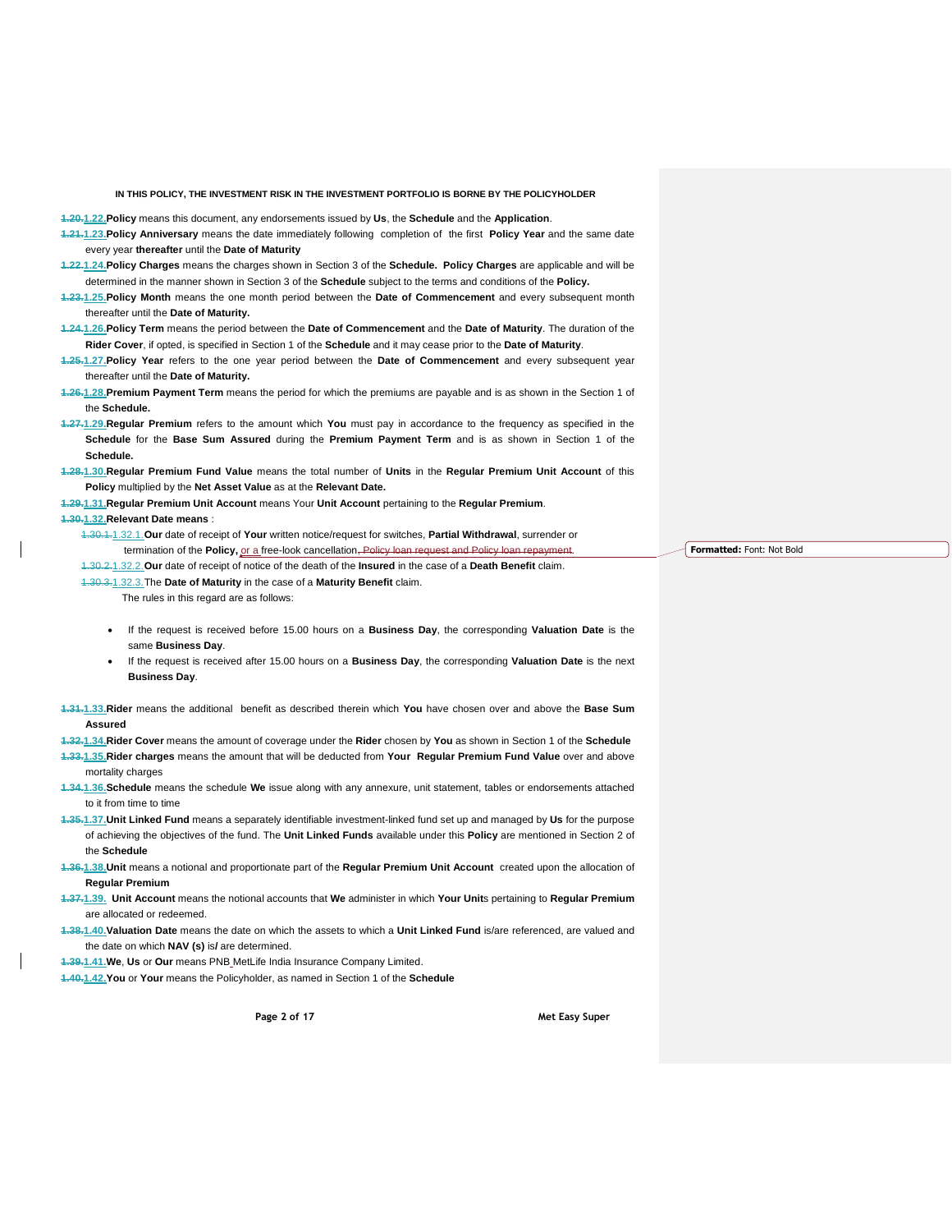**1.20.1.22.Policy** means this document, any endorsements issued by **Us**, the **Schedule** and the **Application**.

- **1.21.1.23.Policy Anniversary** means the date immediately following completion of the first **Policy Year** and the same date every year **thereafter** until the **Date of Maturity**
- **1.22.1.24.Policy Charges** means the charges shown in Section 3 of the **Schedule. Policy Charges** are applicable and will be determined in the manner shown in Section 3 of the **Schedule** subject to the terms and conditions of the **Policy.**
- **1.23.1.25.Policy Month** means the one month period between the **Date of Commencement** and every subsequent month thereafter until the **Date of Maturity.**
- **1.24.1.26.Policy Term** means the period between the **Date of Commencement** and the **Date of Maturity**. The duration of the **Rider Cover**, if opted, is specified in Section 1 of the **Schedule** and it may cease prior to the **Date of Maturity**.
- **1.25.1.27.Policy Year** refers to the one year period between the **Date of Commencement** and every subsequent year thereafter until the **Date of Maturity.**
- **1.26.1.28.Premium Payment Term** means the period for which the premiums are payable and is as shown in the Section 1 of the **Schedule.**
- **1.27.1.29.Regular Premium** refers to the amount which **You** must pay in accordance to the frequency as specified in the **Schedule** for the **Base Sum Assured** during the **Premium Payment Term** and is as shown in Section 1 of the **Schedule.**
- **1.28.1.30.Regular Premium Fund Value** means the total number of **Units** in the **Regular Premium Unit Account** of this **Policy** multiplied by the **Net Asset Value** as at the **Relevant Date.**
- **1.29.1.31.Regular Premium Unit Account** means Your **Unit Account** pertaining to the **Regular Premium**.

#### **1.30.1.32.Relevant Date means** :

1.30.1.1.32.1.**Our** date of receipt of **Your** written notice/request for switches, **Partial Withdrawal**, surrender or termination of the **Policy**, or a free-look cancellation, Policy loan request and Policy loan repay

1.30.2.1.32.2.**Our** date of receipt of notice of the death of the **Insured** in the case of a **Death Benefit** claim.

1.30.3.1.32.3.The **Date of Maturity** in the case of a **Maturity Benefit** claim.

The rules in this regard are as follows:

- If the request is received before 15.00 hours on a **Business Day**, the corresponding **Valuation Date** is the same **Business Day**.
- If the request is received after 15.00 hours on a **Business Day**, the corresponding **Valuation Date** is the next **Business Day**.
- **1.31.1.33.Rider** means the additional benefit as described therein which **You** have chosen over and above the **Base Sum Assured**

**1.32.1.34.Rider Cover** means the amount of coverage under the **Rider** chosen by **You** as shown in Section 1 of the **Schedule**

- **1.33.1.35.Rider charges** means the amount that will be deducted from **Your Regular Premium Fund Value** over and above mortality charges
- **1.34.1.36.Schedule** means the schedule **We** issue along with any annexure, unit statement, tables or endorsements attached to it from time to time
- **1.35.1.37.Unit Linked Fund** means a separately identifiable investment-linked fund set up and managed by **Us** for the purpose of achieving the objectives of the fund. The **Unit Linked Funds** available under this **Policy** are mentioned in Section 2 of the **Schedule**
- **1.36.1.38.Unit** means a notional and proportionate part of the **Regular Premium Unit Account** created upon the allocation of **Regular Premium**
- **1.37.1.39. Unit Account** means the notional accounts that **We** administer in which **Your Unit**s pertaining to **Regular Premium** are allocated or redeemed.
- **1.38.1.40.Valuation Date** means the date on which the assets to which a **Unit Linked Fund** is/are referenced, are valued and the date on which **NAV (s)** is**/** are determined.
- **1.39.1.41.We**, **Us** or **Our** means PNB MetLife India Insurance Company Limited.
- **1.40.1.42.You** or **Your** means the Policyholder, as named in Section 1 of the **Schedule**

**Page 2 of 17 Met Easy Super**

**Formatted:** Font: Not Bold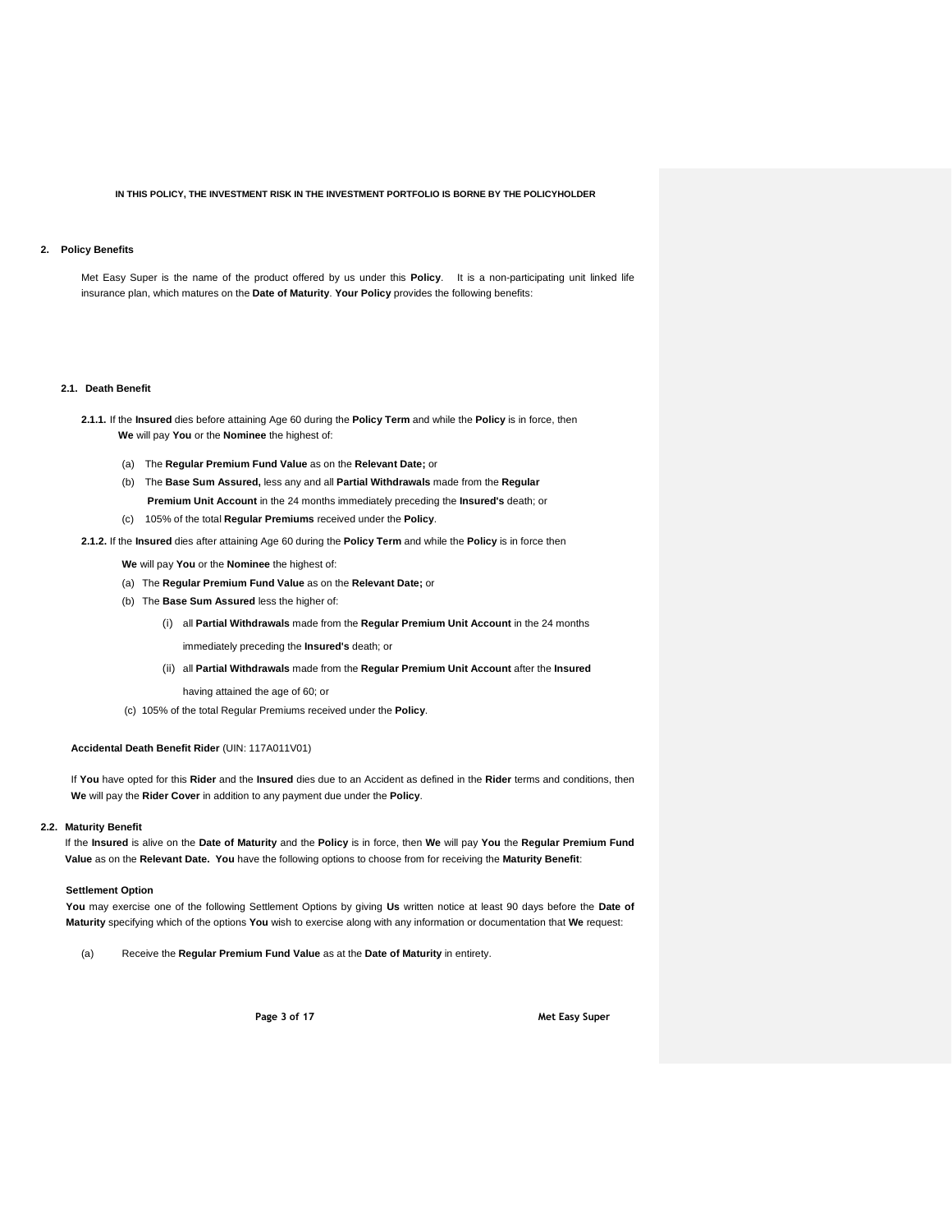## **2. Policy Benefits**

Met Easy Super is the name of the product offered by us under this **Policy**. It is a non-participating unit linked life insurance plan, which matures on the **Date of Maturity**. **Your Policy** provides the following benefits:

### **2.1. Death Benefit**

- **2.1.1.** If the **Insured** dies before attaining Age 60 during the **Policy Term** and while the **Policy** is in force, then **We** will pay **You** or the **Nominee** the highest of:
	- (a) The **Regular Premium Fund Value** as on the **Relevant Date;** or
	- (b) The **Base Sum Assured,** less any and all **Partial Withdrawals** made from the **Regular Premium Unit Account** in the 24 months immediately preceding the **Insured's** death; or
	- (c) 105% of the total **Regular Premiums** received under the **Policy**.
- **2.1.2.** If the **Insured** dies after attaining Age 60 during the **Policy Term** and while the **Policy** is in force then
	- **We** will pay **You** or the **Nominee** the highest of:
	- (a) The **Regular Premium Fund Value** as on the **Relevant Date;** or
	- (b) The **Base Sum Assured** less the higher of:
		- (i) all **Partial Withdrawals** made from the **Regular Premium Unit Account** in the 24 months immediately preceding the **Insured's** death; or
		- (ii) all **Partial Withdrawals** made from the **Regular Premium Unit Account** after the **Insured**
			- having attained the age of 60; or
	- (c) 105% of the total Regular Premiums received under the **Policy**.

## **Accidental Death Benefit Rider** (UIN: 117A011V01)

 If **You** have opted for this **Rider** and the **Insured** dies due to an Accident as defined in the **Rider** terms and conditions, then **We** will pay the **Rider Cover** in addition to any payment due under the **Policy**.

## **2.2. Maturity Benefit**

If the **Insured** is alive on the **Date of Maturity** and the **Policy** is in force, then **We** will pay **You** the **Regular Premium Fund Value** as on the **Relevant Date. You** have the following options to choose from for receiving the **Maturity Benefit**:

#### **Settlement Option**

**You** may exercise one of the following Settlement Options by giving **Us** written notice at least 90 days before the **Date of Maturity** specifying which of the options **You** wish to exercise along with any information or documentation that **We** request:

(a) Receive the **Regular Premium Fund Value** as at the **Date of Maturity** in entirety.

**Page 3 of 17 Met Easy Super**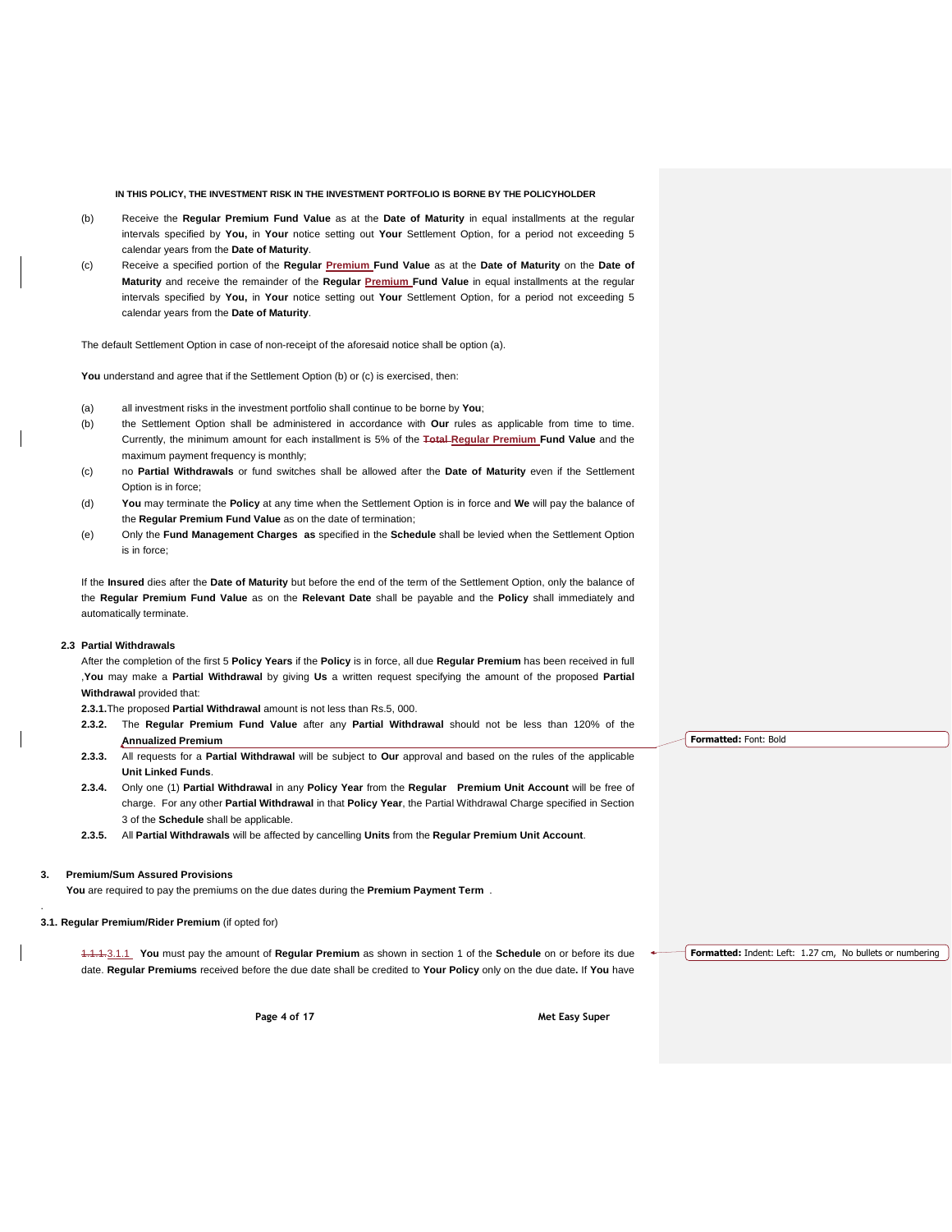- (b) Receive the **Regular Premium Fund Value** as at the **Date of Maturity** in equal installments at the regular intervals specified by **You,** in **Your** notice setting out **Your** Settlement Option, for a period not exceeding 5 calendar years from the **Date of Maturity**.
- (c) Receive a specified portion of the **Regular Premium Fund Value** as at the **Date of Maturity** on the **Date of Maturity** and receive the remainder of the **Regular Premium Fund Value** in equal installments at the regular intervals specified by **You,** in **Your** notice setting out **Your** Settlement Option, for a period not exceeding 5 calendar years from the **Date of Maturity**.

The default Settlement Option in case of non-receipt of the aforesaid notice shall be option (a).

You understand and agree that if the Settlement Option (b) or (c) is exercised, then:

- (a) all investment risks in the investment portfolio shall continue to be borne by **You**;
- (b) the Settlement Option shall be administered in accordance with **Our** rules as applicable from time to time. Currently, the minimum amount for each installment is 5% of the **Total Regular Premium Fund Value** and the maximum payment frequency is monthly;
- (c) no **Partial Withdrawals** or fund switches shall be allowed after the **Date of Maturity** even if the Settlement Option is in force;
- (d) **You** may terminate the **Policy** at any time when the Settlement Option is in force and **We** will pay the balance of the **Regular Premium Fund Value** as on the date of termination;
- (e) Only the **Fund Management Charges as** specified in the **Schedule** shall be levied when the Settlement Option is in force;

If the **Insured** dies after the **Date of Maturity** but before the end of the term of the Settlement Option, only the balance of the **Regular Premium Fund Value** as on the **Relevant Date** shall be payable and the **Policy** shall immediately and automatically terminate.

## **2.3 Partial Withdrawals**

After the completion of the first 5 **Policy Years** if the **Policy** is in force, all due **Regular Premium** has been received in full ,**You** may make a **Partial Withdrawal** by giving **Us** a written request specifying the amount of the proposed **Partial Withdrawal** provided that:

**2.3.1.**The proposed **Partial Withdrawal** amount is not less than Rs.5, 000.

- **2.3.2.** The **Regular Premium Fund Value** after any **Partial Withdrawal** should not be less than 120% of the **Annualized Premium**
- **2.3.3.** All requests for a **Partial Withdrawal** will be subject to **Our** approval and based on the rules of the applicable **Unit Linked Funds**.
- **2.3.4.** Only one (1) **Partial Withdrawal** in any **Policy Year** from the **Regular Premium Unit Account** will be free of charge. For any other **Partial Withdrawal** in that **Policy Year**, the Partial Withdrawal Charge specified in Section 3 of the **Schedule** shall be applicable.
- **2.3.5.** All **Partial Withdrawals** will be affected by cancelling **Units** from the **Regular Premium Unit Account**.

## **3. Premium/Sum Assured Provisions**

.

 **You** are required to pay the premiums on the due dates during the **Premium Payment Term** .

#### **3.1. Regular Premium/Rider Premium** (if opted for)

1.1.1.3.1.1 **You** must pay the amount of **Regular Premium** as shown in section 1 of the **Schedule** on or before its due date. **Regular Premiums** received before the due date shall be credited to **Your Policy** only on the due date**.** If **You** have

**Page 4 of 17 Met Easy Super**

**Formatted:** Font: Bold

**Formatted:** Indent: Left: 1.27 cm, No bullets or numbering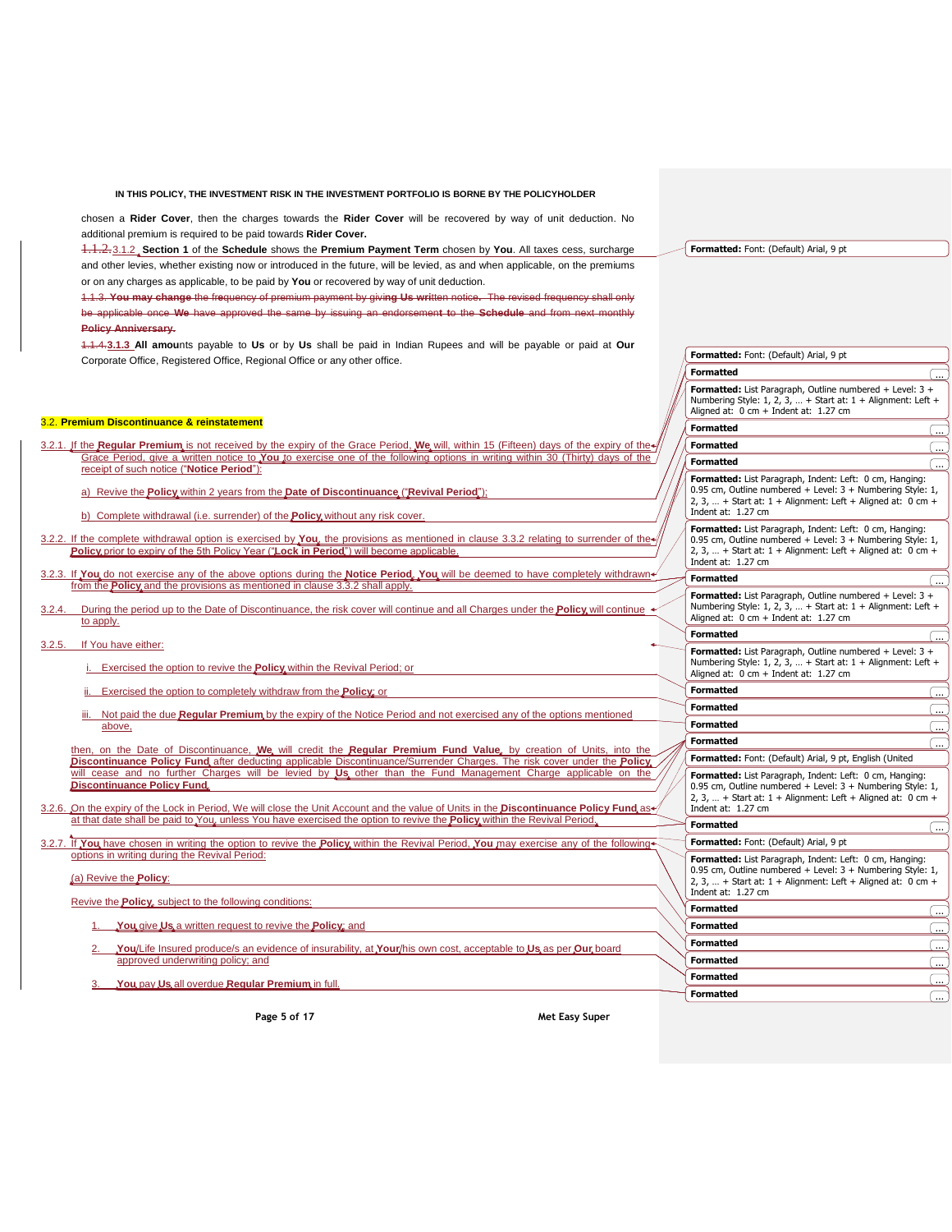chosen a **Rider Cover**, then the charges towards the **Rider Cover** will be recovered by way of unit deduction. No additional premium is required to be paid towards **Rider Cover.**

1.1.2.3.1.2 **Section 1** of the **Schedule** shows the **Premium Payment Term** chosen by **You**. All taxes cess, surcharge and other levies, whether existing now or introduced in the future, will be levied, as and when applicable, on the premiums or on any charges as applicable, to be paid by **You** or recovered by way of unit deduction.

1.1.3. **You may change** the fr**e**quency of premium payment by givi**ng Us wri**tten notice**.** The revised frequency shall only be applicable once **We** have approved the same by issuing an endorsemen**t t**o the **Schedule** and from next monthly **Policy Anniversary.**

1.1.4.**3.1.3 All amou**nts payable to **Us** or by **Us** shall be paid in Indian Rupees and will be payable or paid at **Our** Corporate Office, Registered Office, Regional Office or any other office.

#### 3.2. **Premium Discontinuance & reinstatement**

|        |                                                                                                                                                                                                                                                                                                   | <b>Formatted:</b> List Paragraph, Outline numbered + Level: $3 +$<br>Numbering Style: 1, 2, 3,  + Start at: $1 +$ Alignment: Left +<br>Aligned at: $0 \text{ cm} + \text{Indent at: } 1.27 \text{ cm}$                   |            |
|--------|---------------------------------------------------------------------------------------------------------------------------------------------------------------------------------------------------------------------------------------------------------------------------------------------------|--------------------------------------------------------------------------------------------------------------------------------------------------------------------------------------------------------------------------|------------|
|        | 3.2. Premium Discontinuance & reinstatement                                                                                                                                                                                                                                                       | <b>Formatted</b>                                                                                                                                                                                                         |            |
|        | 3.2.1. If the Regular Premium is not received by the expiry of the Grace Period, We will, within 15 (Fifteen) days of the expiry of the $\eta$                                                                                                                                                    | <b>Formatted</b>                                                                                                                                                                                                         | $\ddotsc$  |
|        | Grace Period, give a written notice to You to exercise one of the following options in writing within 30 (Thirty) days of the                                                                                                                                                                     | <b>Formatted</b>                                                                                                                                                                                                         |            |
|        | receipt of such notice ("Notice Period"):<br>a) Revive the Policy within 2 years from the Date of Discontinuance ("Revival Period");<br>b) Complete withdrawal (i.e. surrender) of the <b>Policy</b> without any risk cover.                                                                      | Formatted: List Paragraph, Indent: Left: 0 cm, Hanging:<br>0.95 cm, Outline numbered + Level: $3 +$ Numbering Style: 1,<br>2, 3,  + Start at: $1 +$ Alignment: Left + Aligned at: 0 cm +<br>Indent at: 1.27 cm           |            |
|        | 3.2.2. If the complete withdrawal option is exercised by <b>You</b> the provisions as mentioned in clause 3.3.2 relating to surrender of the<br>Policy prior to expiry of the 5th Policy Year ("Lock in Period") will become applicable.                                                          | Formatted: List Paragraph, Indent: Left: 0 cm, Hanging:<br>0.95 cm, Outline numbered + Level: $3 +$ Numbering Style: 1,<br>2, 3,  + Start at: $1 +$ Alignment: Left + Aligned at: 0 cm +<br>Indent at: 1.27 cm           |            |
|        | 3.2.3. If You do not exercise any of the above options during the Notice Period. You will be deemed to have completely withdrawn<br>from the <b>Policy</b> and the provisions as mentioned in clause 3.3.2 shall apply.                                                                           | <b>Formatted</b>                                                                                                                                                                                                         |            |
| 3.2.4. | During the period up to the Date of Discontinuance, the risk cover will continue and all Charges under the <b>Policy</b> will continue <<br>to apply.                                                                                                                                             | Formatted: List Paragraph, Outline numbered + Level: 3 +<br>Numbering Style: 1, 2, 3,  + Start at: 1 + Alignment: Left +<br>Aligned at: 0 cm + Indent at: 1.27 cm                                                        |            |
|        |                                                                                                                                                                                                                                                                                                   | <b>Formatted</b>                                                                                                                                                                                                         |            |
| 3.2.5. | If You have either:<br>Exercised the option to revive the <b>Policy</b> within the Revival Period; or                                                                                                                                                                                             | Formatted: List Paragraph, Outline numbered + Level: 3 +<br>Numbering Style: 1, 2, 3,  + Start at: $1 +$ Alignment: Left +<br>Aligned at: 0 cm + Indent at: 1.27 cm                                                      |            |
|        | Exercised the option to completely withdraw from the <b>Policy</b> or                                                                                                                                                                                                                             | <b>Formatted</b>                                                                                                                                                                                                         | $\dddotsc$ |
|        | iii. Not paid the due Regular Premium by the expiry of the Notice Period and not exercised any of the options mentioned                                                                                                                                                                           | <b>Formatted</b>                                                                                                                                                                                                         |            |
|        | above.                                                                                                                                                                                                                                                                                            | <b>Formatted</b>                                                                                                                                                                                                         |            |
|        |                                                                                                                                                                                                                                                                                                   | <b>Formatted</b>                                                                                                                                                                                                         |            |
|        | then, on the Date of Discontinuance, We will credit the Regular Premium Fund Value, by creation of Units, into the<br>Discontinuance Policy Fund after deducting applicable Discontinuance/Surrender Charges. The risk cover under the Policy                                                     | Formatted: Font: (Default) Arial, 9 pt, English (United                                                                                                                                                                  |            |
|        | will cease and no further Charges will be levied by Us other than the Fund Management Charge applicable on the<br><b>Discontinuance Policy Fund.</b><br>3.2.6. On the expiry of the Lock in Period, We will close the Unit Account and the value of Units in the Discontinuance Policy Fund as ** | Formatted: List Paragraph, Indent: Left: 0 cm, Hanging:<br>0.95 cm, Outline numbered + Level: $3 +$ Numbering Style: 1,<br>2, 3,  + Start at: $1 +$ Alignment: Left + Aligned at: 0 cm +<br>Indent at: $1.27 \text{ cm}$ |            |
|        | at that date shall be paid to You, unless You have exercised the option to revive the <b>Policy</b> within the Revival Period,                                                                                                                                                                    | <b>Formatted</b>                                                                                                                                                                                                         |            |
|        | 3.2.7. If You have chosen in writing the option to revive the Policy within the Revival Period, You may exercise any of the following                                                                                                                                                             | Formatted: Font: (Default) Arial, 9 pt                                                                                                                                                                                   |            |
|        | options in writing during the Revival Period:<br>(a) Revive the <b>Policy</b> :                                                                                                                                                                                                                   | Formatted: List Paragraph, Indent: Left: 0 cm, Hanging:<br>0.95 cm, Outline numbered + Level: $3 +$ Numbering Style: 1,<br>2, 3,  + Start at: $1 +$ Alignment: Left + Aligned at: 0 cm +<br>Indent at: 1.27 cm           |            |
|        | Revive the <b>Policy</b> , subject to the following conditions:                                                                                                                                                                                                                                   | <b>Formatted</b>                                                                                                                                                                                                         | ᠊          |
|        | You give Us a written request to revive the Policy: and                                                                                                                                                                                                                                           | <b>Formatted</b>                                                                                                                                                                                                         | ᠊᠊᠊᠊       |
|        | You/Life Insured produce/s an evidence of insurability, at Your/his own cost, acceptable to Us as per Our board                                                                                                                                                                                   | <b>Formatted</b>                                                                                                                                                                                                         | Œ.,        |
|        | approved underwriting policy; and                                                                                                                                                                                                                                                                 | <b>Formatted</b>                                                                                                                                                                                                         | r          |
|        |                                                                                                                                                                                                                                                                                                   | <b>Formatted</b>                                                                                                                                                                                                         | ٠          |
|        | You pay Us all overdue Regular Premium in full.                                                                                                                                                                                                                                                   | <b>Formatted</b>                                                                                                                                                                                                         |            |
|        |                                                                                                                                                                                                                                                                                                   |                                                                                                                                                                                                                          |            |

**Page 5 of 17 Met Easy Super**

**Formatted:** Font: (Default) Arial, 9 pt

**Formatted:** Font: (Default) Arial, 9 pt

**Formatted**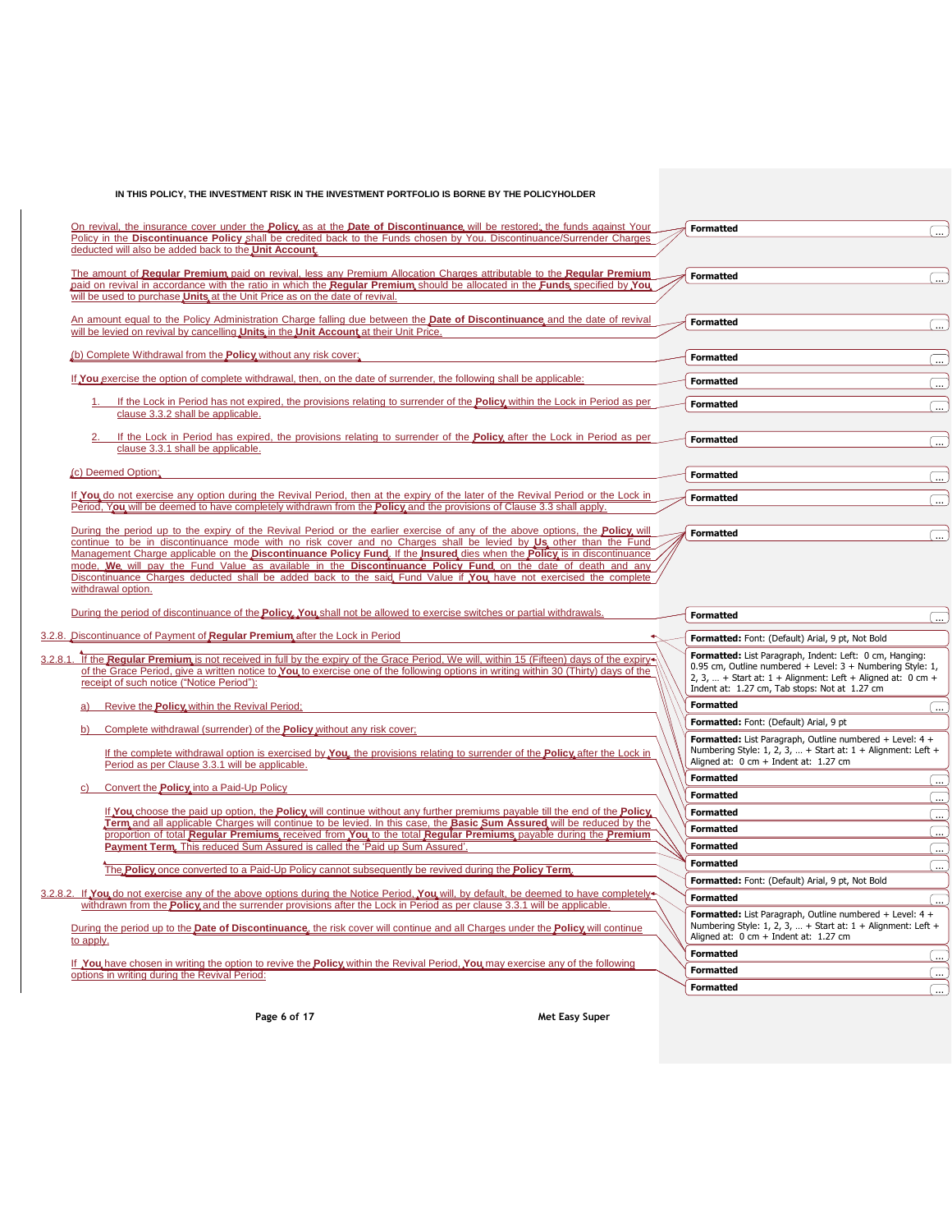| On revival, the insurance cover under the <b>Policy</b> as at the <b>Date of Discontinuance</b> will be restored, the funds against Your                                                                                                                                                                                                                                                                    | <b>Formatted</b>                                                                                                                                                                                                                        |                          |
|-------------------------------------------------------------------------------------------------------------------------------------------------------------------------------------------------------------------------------------------------------------------------------------------------------------------------------------------------------------------------------------------------------------|-----------------------------------------------------------------------------------------------------------------------------------------------------------------------------------------------------------------------------------------|--------------------------|
| Policy in the Discontinuance Policy shall be credited back to the Funds chosen by You. Discontinuance/Surrender Charges<br>deducted will also be added back to the Unit Account.                                                                                                                                                                                                                            |                                                                                                                                                                                                                                         |                          |
| The amount of Regular Premium paid on revival, less any Premium Allocation Charges attributable to the Regular Premium                                                                                                                                                                                                                                                                                      | <b>Formatted</b>                                                                                                                                                                                                                        |                          |
| paid on revival in accordance with the ratio in which the Regular Premium should be allocated in the Funds specified by You<br>will be used to purchase <b>Units</b> at the Unit Price as on the date of revival.                                                                                                                                                                                           |                                                                                                                                                                                                                                         |                          |
| An amount equal to the Policy Administration Charge falling due between the <b>Date of Discontinuance</b> and the date of revival<br>will be levied on revival by cancelling <b>Units</b> in the <b>Unit Account</b> at their Unit Price.                                                                                                                                                                   | <b>Formatted</b>                                                                                                                                                                                                                        | $\cdots$                 |
| (b) Complete Withdrawal from the <b>Policy</b> without any risk cover;                                                                                                                                                                                                                                                                                                                                      | <b>Formatted</b>                                                                                                                                                                                                                        |                          |
| If You exercise the option of complete withdrawal, then, on the date of surrender, the following shall be applicable:                                                                                                                                                                                                                                                                                       | <b>Formatted</b>                                                                                                                                                                                                                        | $\ddotsc$                |
| If the Lock in Period has not expired, the provisions relating to surrender of the <b>Policy</b> within the Lock in Period as per<br>clause 3.3.2 shall be applicable.                                                                                                                                                                                                                                      | <b>Formatted</b>                                                                                                                                                                                                                        |                          |
| If the Lock in Period has expired, the provisions relating to surrender of the <b>Policy</b> after the Lock in Period as per<br>clause 3.3.1 shall be applicable.                                                                                                                                                                                                                                           | <b>Formatted</b>                                                                                                                                                                                                                        | $\ddotsc$                |
| (c) Deemed Option:                                                                                                                                                                                                                                                                                                                                                                                          | <b>Formatted</b>                                                                                                                                                                                                                        |                          |
|                                                                                                                                                                                                                                                                                                                                                                                                             |                                                                                                                                                                                                                                         | $\ldots$                 |
| If You do not exercise any option during the Revival Period, then at the expiry of the later of the Revival Period or the Lock in<br>Period, You will be deemed to have completely withdrawn from the <b>Policy</b> and the provisions of Clause 3.3 shall apply.                                                                                                                                           | <b>Formatted</b>                                                                                                                                                                                                                        | $\cdots$                 |
| During the period up to the expiry of the Revival Period or the earlier exercise of any of the above options, the <b>Policy</b> will<br>continue to be in discontinuance mode with no risk cover and no Charges shall be levied by Us, other than the Fund                                                                                                                                                  | <b>Formatted</b>                                                                                                                                                                                                                        | $\overline{\mathbf{u}}$  |
| Discontinuance Charges deducted shall be added back to the said Fund Value if You have not exercised the complete<br>withdrawal option.<br>During the period of discontinuance of the <b>Policy</b> . You shall not be allowed to exercise switches or partial withdrawals.                                                                                                                                 | <b>Formatted</b>                                                                                                                                                                                                                        |                          |
| 3.2.8. Discontinuance of Payment of Regular Premium after the Lock in Period                                                                                                                                                                                                                                                                                                                                |                                                                                                                                                                                                                                         |                          |
|                                                                                                                                                                                                                                                                                                                                                                                                             | Formatted: Font: (Default) Arial, 9 pt, Not Bold                                                                                                                                                                                        |                          |
| of the Grace Period, give a written notice to You to exercise one of the following options in writing within 30 (Thirty) days of the<br>receipt of such notice ("Notice Period"):                                                                                                                                                                                                                           | Formatted: List Paragraph, Indent: Left: 0 cm, Hanging:<br>0.95 cm, Outline numbered + Level: 3 + Numbering Style: 1,<br>2, 3,  + Start at: $1 +$ Alignment: Left + Aligned at: 0 cm +<br>Indent at: 1.27 cm, Tab stops: Not at 1.27 cm |                          |
| Revive the <b>Policy</b> within the Revival Period:                                                                                                                                                                                                                                                                                                                                                         | <b>Formatted</b>                                                                                                                                                                                                                        |                          |
|                                                                                                                                                                                                                                                                                                                                                                                                             | Formatted: Font: (Default) Arial, 9 pt                                                                                                                                                                                                  | $\ddotsc$                |
| 3.2.8.1. If the Regular Premium is not received in full by the expiry of the Grace Period, We will, within 15 (Fifteen) days of the expiry<br>Complete withdrawal (surrender) of the <b>Policy</b> without any risk cover:<br>If the complete withdrawal option is exercised by You, the provisions relating to surrender of the Policy after the Lock in<br>Period as per Clause 3.3.1 will be applicable. | Formatted: List Paragraph, Outline numbered + Level: 4 +<br>Numbering Style: 1, 2, 3,  + Start at: $1 +$ Alignment: Left +<br>Aligned at: $0 \text{ cm} + \text{Indent at: } 1.27 \text{ cm}$                                           |                          |
|                                                                                                                                                                                                                                                                                                                                                                                                             | <b>Formatted</b>                                                                                                                                                                                                                        | $\cdots$                 |
| Convert the <b>Policy</b> into a Paid-Up Policy                                                                                                                                                                                                                                                                                                                                                             | <b>Formatted</b>                                                                                                                                                                                                                        | $\overline{\phantom{a}}$ |
| If You choose the paid up option, the Policy will continue without any further premiums payable till the end of the Policy                                                                                                                                                                                                                                                                                  | <b>Formatted</b>                                                                                                                                                                                                                        | .<br>.                   |
| Term and all applicable Charges will continue to be levied. In this case, the Basic Sum Assured will be reduced by the                                                                                                                                                                                                                                                                                      | <b>Formatted</b>                                                                                                                                                                                                                        | $\overline{\phantom{a}}$ |
| proportion of total Regular Premiums, received from You to the total Regular Premiums, payable during the Premium<br>Payment Term. This reduced Sum Assured is called the 'Paid up Sum Assured'.                                                                                                                                                                                                            | <b>Formatted</b>                                                                                                                                                                                                                        | $\left( \right)$         |
|                                                                                                                                                                                                                                                                                                                                                                                                             | <b>Formatted</b>                                                                                                                                                                                                                        | $\ddotsc$                |
| The <b>Policy</b> once converted to a Paid-Up Policy cannot subsequently be revived during the <b>Policy Term</b> ,                                                                                                                                                                                                                                                                                         | Formatted: Font: (Default) Arial, 9 pt, Not Bold                                                                                                                                                                                        |                          |
|                                                                                                                                                                                                                                                                                                                                                                                                             | <b>Formatted</b>                                                                                                                                                                                                                        |                          |
| withdrawn from the <b>Policy</b> and the surrender provisions after the Lock in Period as per clause 3.3.1 will be applicable.<br>During the period up to the Date of Discontinuance, the risk cover will continue and all Charges under the Policy will continue<br>to apply.                                                                                                                              | Formatted: List Paragraph, Outline numbered + Level: 4 +<br>Numbering Style: 1, 2, 3,  + Start at: $1 +$ Alignment: Left +<br>Aligned at: 0 cm + Indent at: 1.27 cm                                                                     |                          |
|                                                                                                                                                                                                                                                                                                                                                                                                             | <b>Formatted</b>                                                                                                                                                                                                                        |                          |
| 3.2.8.2. If You do not exercise any of the above options during the Notice Period, You will, by default, be deemed to have completely<br>If You have chosen in writing the option to revive the Policy within the Revival Period, You may exercise any of the following<br>options in writing during the Revival Period:                                                                                    | <b>Formatted</b>                                                                                                                                                                                                                        | $\overline{\mathbf{u}}$  |

**Page 6 of 17 Met Easy Super**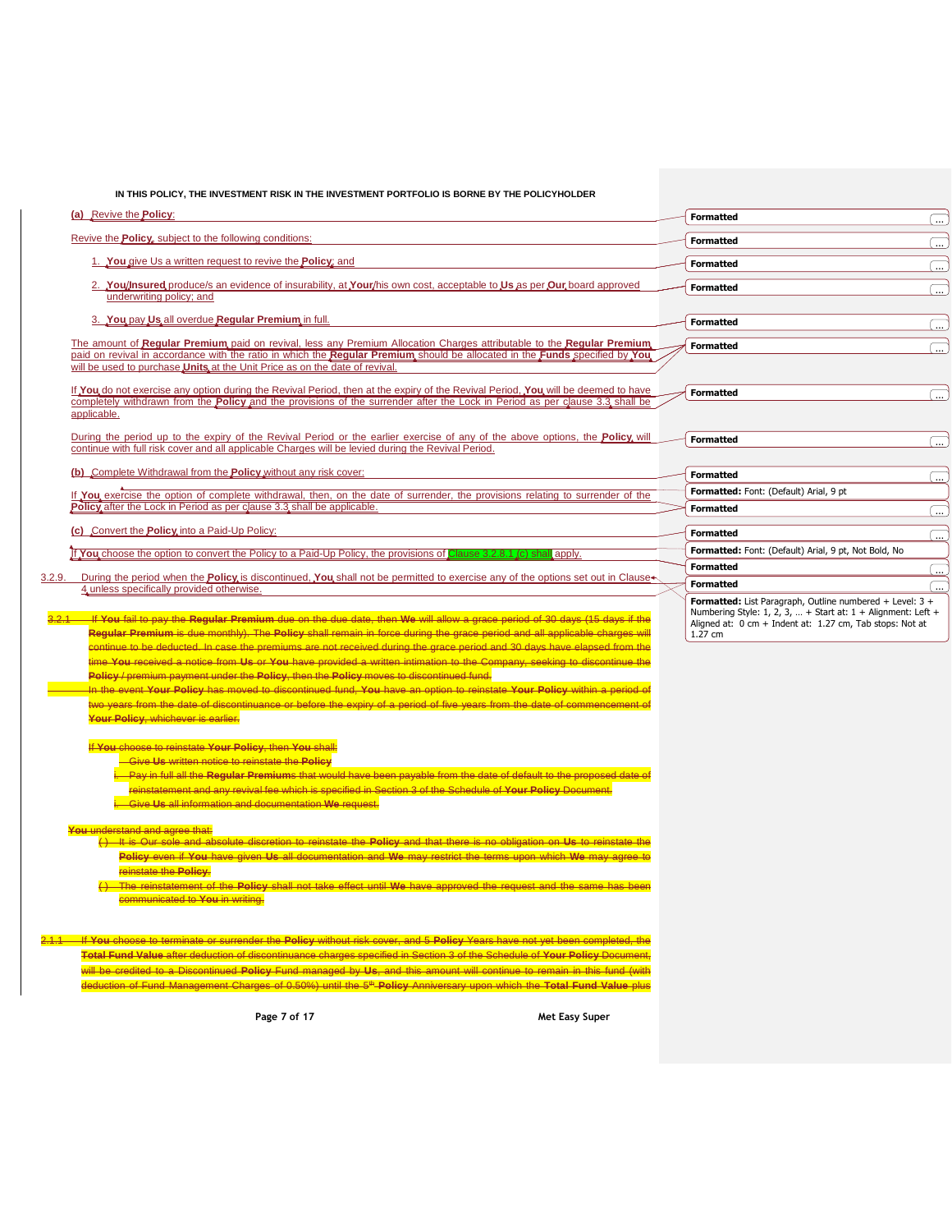|  | IN THIS POLICY. THE INVESTMENT RISK IN THE INVESTMENT PORTFOLIO IS BORNE BY THE POLICYHOLDER |
|--|----------------------------------------------------------------------------------------------|
|  |                                                                                              |

| (a) Revive the <b>Policy:</b>                                                                                                                                                                                                                                                                                                                                                                                                                                                                                                                                                                                                                                                                                                                                                                                                                                                                                                                                                                                         | <b>Formatted</b><br>$\ldots$ )                                                                                                                                                                    |
|-----------------------------------------------------------------------------------------------------------------------------------------------------------------------------------------------------------------------------------------------------------------------------------------------------------------------------------------------------------------------------------------------------------------------------------------------------------------------------------------------------------------------------------------------------------------------------------------------------------------------------------------------------------------------------------------------------------------------------------------------------------------------------------------------------------------------------------------------------------------------------------------------------------------------------------------------------------------------------------------------------------------------|---------------------------------------------------------------------------------------------------------------------------------------------------------------------------------------------------|
| Revive the <b>Policy</b> , subject to the following conditions:                                                                                                                                                                                                                                                                                                                                                                                                                                                                                                                                                                                                                                                                                                                                                                                                                                                                                                                                                       | <b>Formatted</b><br>$\overline{\phantom{a}}$                                                                                                                                                      |
| 1. You give Us a written request to revive the <b>Policy</b> ; and                                                                                                                                                                                                                                                                                                                                                                                                                                                                                                                                                                                                                                                                                                                                                                                                                                                                                                                                                    | <b>Formatted</b><br>$\boxed{}$                                                                                                                                                                    |
| 2. You/Insured produce/s an evidence of insurability, at Your/his own cost, acceptable to Us as per Our board approved<br>underwriting policy; and                                                                                                                                                                                                                                                                                                                                                                                                                                                                                                                                                                                                                                                                                                                                                                                                                                                                    | <b>Formatted</b><br>$\boxed{}$                                                                                                                                                                    |
| 3. You pay Us all overdue Regular Premium in full.                                                                                                                                                                                                                                                                                                                                                                                                                                                                                                                                                                                                                                                                                                                                                                                                                                                                                                                                                                    | <b>Formatted</b><br>$\Box$                                                                                                                                                                        |
| The amount of Regular Premium paid on revival, less any Premium Allocation Charges attributable to the Regular Premium<br>paid on revival in accordance with the ratio in which the Regular Premium should be allocated in the Funds specified by You                                                                                                                                                                                                                                                                                                                                                                                                                                                                                                                                                                                                                                                                                                                                                                 | <b>Formatted</b><br>$\Box$                                                                                                                                                                        |
| will be used to purchase Units at the Unit Price as on the date of revival.<br>If You do not exercise any option during the Revival Period, then at the expiry of the Revival Period, You will be deemed to have<br>completely withdrawn from the <b>Policy</b> and the provisions of the surrender after the Lock in Period as per clause 3.3 shall be                                                                                                                                                                                                                                                                                                                                                                                                                                                                                                                                                                                                                                                               | <b>Formatted</b><br>$\square$                                                                                                                                                                     |
| applicable.                                                                                                                                                                                                                                                                                                                                                                                                                                                                                                                                                                                                                                                                                                                                                                                                                                                                                                                                                                                                           |                                                                                                                                                                                                   |
| During the period up to the expiry of the Revival Period or the earlier exercise of any of the above options, the <b>Policy</b> will<br>continue with full risk cover and all applicable Charges will be levied during the Revival Period.                                                                                                                                                                                                                                                                                                                                                                                                                                                                                                                                                                                                                                                                                                                                                                            | <b>Formatted</b><br>$\Box$                                                                                                                                                                        |
| (b) Complete Withdrawal from the Policy without any risk cover:                                                                                                                                                                                                                                                                                                                                                                                                                                                                                                                                                                                                                                                                                                                                                                                                                                                                                                                                                       | <b>Formatted</b><br>Œ.,                                                                                                                                                                           |
| If You exercise the option of complete withdrawal, then, on the date of surrender, the provisions relating to surrender of the                                                                                                                                                                                                                                                                                                                                                                                                                                                                                                                                                                                                                                                                                                                                                                                                                                                                                        | Formatted: Font: (Default) Arial, 9 pt                                                                                                                                                            |
| Policy after the Lock in Period as per clause 3.3 shall be applicable.                                                                                                                                                                                                                                                                                                                                                                                                                                                                                                                                                                                                                                                                                                                                                                                                                                                                                                                                                | <b>Formatted</b><br>$\Box$                                                                                                                                                                        |
| (c) Convert the <b>Policy</b> into a Paid-Up Policy:                                                                                                                                                                                                                                                                                                                                                                                                                                                                                                                                                                                                                                                                                                                                                                                                                                                                                                                                                                  | <b>Formatted</b><br>$\hskip10pt\hskip10pt\hskip10pt\hskip10pt\hskip10pt$                                                                                                                          |
| If You choose the option to convert the Policy to a Paid-Up Policy, the provisions of Clause 3.2.8.1 (c) shall apply.                                                                                                                                                                                                                                                                                                                                                                                                                                                                                                                                                                                                                                                                                                                                                                                                                                                                                                 | Formatted: Font: (Default) Arial, 9 pt, Not Bold, No<br><b>Formatted</b>                                                                                                                          |
| During the period when the <b>Policy</b> is discontinued, You shall not be permitted to exercise any of the options set out in Clause                                                                                                                                                                                                                                                                                                                                                                                                                                                                                                                                                                                                                                                                                                                                                                                                                                                                                 | <u>(  )</u><br><b>Formatted</b><br>戸                                                                                                                                                              |
| 4 unless specifically provided otherwise.<br><u>. If You fail to pay the Regular Premium due on the due date, then We will allow a grace period of 30 days (15 days if the</u><br>Regular Premium is due monthly). The Policy shall remain in force during the grace period and all applicable charges will<br>continue to be deducted. In case the premiums are not received during the grace period and 30 days have elapsed from the<br>time You received a notice from Us or You have provided a written intimation to the Company, seeking to discontinue the<br>Policy / premium payment under the Policy, then the Policy moves to discontinued fund.<br>In the event Your Policy has moved to discontinued fund, You have an option to reinstate Your Policy within a period of<br>two years from the date of discontinuance or before the expiry of a period of five years from the date of commencement of<br>Your Policy, whichever is earlier.<br>If You choose to reinstate Your Policy, then You shall: | Formatted: List Paragraph, Outline numbered + Level: 3 +<br>Numbering Style: 1, 2, 3,  + Start at: $1 +$ Alignment: Left +<br>Aligned at: 0 cm + Indent at: 1.27 cm, Tab stops: Not at<br>1.27 cm |
| <b>Give Us written notice to reinstate the Policy</b><br>i. Pay in full all the Regular Premiums that would have been payable from the date of default to the proposed date of<br>reinstatement and any revival fee which is specified in Section 3 of the Schedule of Your Policy Document.<br>i. Give Us all information and documentation We request.                                                                                                                                                                                                                                                                                                                                                                                                                                                                                                                                                                                                                                                              |                                                                                                                                                                                                   |
| You understand and agree that:<br>() It is Our sole and absolute discretion to reinstate the Policy and that there is no obligation on Us to reinstate the<br>Policy even if You have given Us all documentation and We may restrict the terms upon which We may agree to<br>reinstate the Policy.<br>() The reinstatement of the Policy shall not take effect until We have approved the request and the same has been<br>communicated to You in writing.                                                                                                                                                                                                                                                                                                                                                                                                                                                                                                                                                            |                                                                                                                                                                                                   |

2.1.1 If **You** choose to terminate or surrender the **Policy** without risk cover, and 5 **Policy** Years have not yet been completed, the **Total Fund Value** after deduction of discontinuance charges specified in Section 3 of the Schedule of **Your Policy** Document, will be credited to a Discontinued **Policy** Fund managed by **Us**, and this amount will continue to remain in this fund (with deduction of Fund Management Charges of 0.50%) until the 5th **Policy** Anniversary upon which the **Total Fund Value** plus

**Page 7 of 17 Met Easy Super**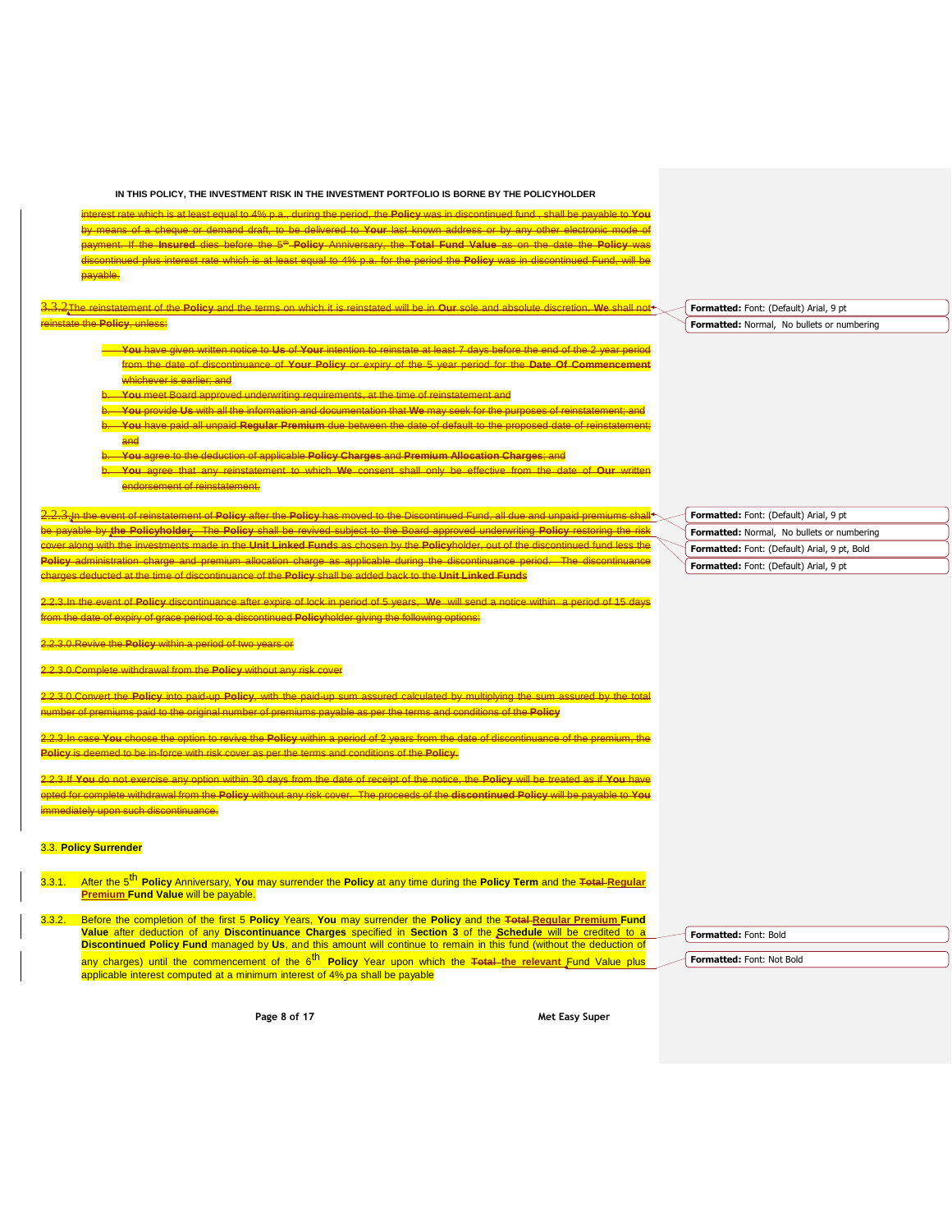interest rate which is at least equal to 4% p.a., during the period, the **Policy** was in discontinued fund , shall be payable to **You** by means of a cheque or demand draft, to be delivered to **Your** last known address or by any other electronic mode of payment. If the **Insured** dies before the 5th **Policy** Anniversary, the **Total Fund Value** as on the date the **Policy** was discontinued plus interest rate which is at least equal to 4% p.a. for the period the **Policy** was in discontinued Fund, will be payable.

3.3.2The reinstatement of the **Policy** and the terms on which it is reinstated will be in **Our** sole and absolute discretion. **We** shall not the **Policy**, unless:

- **You** have given written notice to **Us** of **Your** intention to reinstate at least 7 days before the end of the 2 year period from the date of discontinuance of **Your Policy** or expiry of the 5 year period for the **Date Of Commencement** whichever is earlier; and
- b. **You** meet Board approved underwriting requirements, at the time of reinstatement and
- b. **You** provide **Us** with all the information and documentation that **We** may seek for the purposes of reinstatement; and b. **You** have paid all unpaid **Regular Premium** due between the date of default to the proposed date of reinstatement; and
- b. **You** agree to the deduction of applicable **Policy Charges** and **Premium Allocation Charges**; and
- b. **You** agree that any reinstatement to which **We** consent shall only be effective from the date of **Our** written endorsement of reinstatement.

2.2.3.In the event of reinstatement of **Policy** after the **Policy** has moved to the Discontinued Fund, all due and unpaid premiums shall be payable by **the Policyholder**. The **Policy** shall be revived subject to the Board approved underwriting **Policy** restoring the risk cover along with the investments made in the **Unit Linked Fund**s as chosen by the **Policy**holder, out of the discontinued fund less the **Policy** administration charge and premium allocation charge as applicable during the discontinuance period. The discontinuance charges deducted at the time of discontinuance of the **Policy** shall be added back to the **Unit Linked Fund**s

2.2.3.In the event of **Policy** discontinuance after expire of lock in period of 5 years, **We** will send a notice within a period of 15 days from the date of expiry of grace period to a discontinued **Policy**holder giving the following options:

2.2.3.0.Revive the **Policy** within a period of two years or

.<br><del>Complete withdrawal from the **Policy** without any risk cover</del>

2.2.3.0.Convert the **Policy** into paid-up **Policy**, with the paid-up sum assured calculated by multiplying the sum assured by the total number of premiums paid to the original number of premiums payable as per the terms and conditions of the **Policy**

2.2.3.In case **You** choose the option to revive the **Policy** within a period of 2 years from the date of discontinuance of the premium, the **Policy** is deemed to be in-force with risk cover as per the terms and conditions of the **Policy**.

2.2.3.If **You** do not exercise any option within 30 days from the date of receipt of the notice, the **Policy** will be treated as if **You** have opted for complete withdrawal from the **Policy** without any risk cover. The proceeds of the **discontinued Policy** will be payable to **You imediately upon such discontinuance.** 

### 3.3. **Policy Surrender**

- 3.3.1. After the 5 th **Policy** Anniversary, **You** may surrender the **Policy** at any time during the **Policy Term** and the **Total Regular Premium Fund Value** will be payable.
- 3.3.2. Before the completion of the first 5 **Policy** Years, **You** may surrender the **Policy** and the **Total Regular Premium Fund Value** after deduction of any **Discontinuance Charges** specified in **Section 3** of the **Schedule** will be credited to a **Discontinued Policy Fund** managed by **Us**, and this amount will continue to remain in this fund (without the deduction of any charges) until the commencement of the 6<sup>th</sup> Policy Year upon which the <del>Total th</del>e relevant Fund Value plus any sharps y sharps computed at a minimum interest of 4% pa shall be payable

**Formatted:** Font: Bold

**Formatted:** Font: Not Bold

**Page 8 of 17 Met Easy Super**

**Formatted:** Font: (Default) Arial, 9 pt **Formatted:** Normal, No bullets or numbering

**Formatted:** Font: (Default) Arial, 9 pt **Formatted:** Normal, No bullets or numbering **Formatted:** Font: (Default) Arial, 9 pt, Bold **Formatted:** Font: (Default) Arial, 9 pt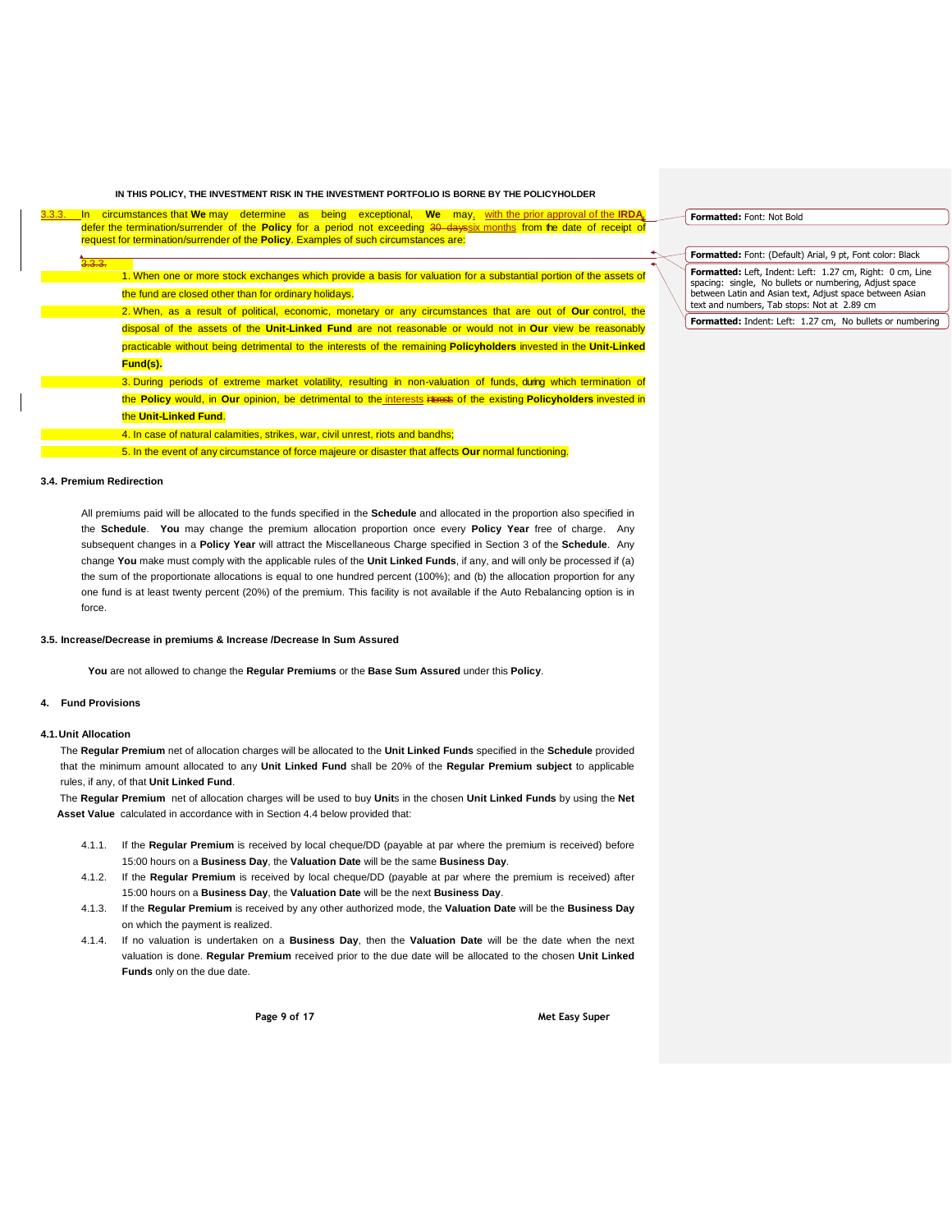| 3.3.3. | circumstances that We may determine as being exceptional. We may, with the prior approval of the IRDA,<br>ln           |  |
|--------|------------------------------------------------------------------------------------------------------------------------|--|
|        | defer the termination/surrender of the Policy for a period not exceeding 30 dayssix months from the date of receipt of |  |
|        | request for termination/surrender of the <b>Policy</b> . Examples of such circumstances are:                           |  |
|        |                                                                                                                        |  |
|        | 3.3.3.                                                                                                                 |  |
|        | 1. When one or more stock exchanges which provide a basis for valuation for a substantial portion of the assets of     |  |
|        | the fund are closed other than for ordinary holidays.                                                                  |  |
|        | 2. When, as a result of political, economic, monetary or any circumstances that are out of Our control, the            |  |
|        | disposal of the assets of the Unit-Linked Fund are not reasonable or would not in Our view be reasonably               |  |
|        | practicable without being detrimental to the interests of the remaining Policyholders invested in the Unit-Linked      |  |
|        | Fund(s).                                                                                                               |  |
|        | 3. During periods of extreme market volatility, resulting in non-valuation of funds, during which termination of       |  |
|        | the Policy would, in Our opinion, be detrimental to the interests incress of the existing Policyholders invested in    |  |
|        | the Unit-Linked Fund.                                                                                                  |  |
|        | 4. In case of natural calamities, strikes, war, civil unrest, riots and bandhs;                                        |  |
|        | 5. In the event of any circumstance of force majeure or disaster that affects <b>Our</b> normal functioning.           |  |

## **3.4. Premium Redirection**

All premiums paid will be allocated to the funds specified in the **Schedule** and allocated in the proportion also specified in the **Schedule**. **You** may change the premium allocation proportion once every **Policy Year** free of charge. Any subsequent changes in a **Policy Year** will attract the Miscellaneous Charge specified in Section 3 of the **Schedule**. Any change **You** make must comply with the applicable rules of the **Unit Linked Funds**, if any, and will only be processed if (a) the sum of the proportionate allocations is equal to one hundred percent (100%); and (b) the allocation proportion for any one fund is at least twenty percent (20%) of the premium. This facility is not available if the Auto Rebalancing option is in force.

#### **3.5. Increase/Decrease in premiums & Increase /Decrease In Sum Assured**

**You** are not allowed to change the **Regular Premiums** or the **Base Sum Assured** under this **Policy**.

# **4. Fund Provisions**

## **4.1.Unit Allocation**

The **Regular Premium** net of allocation charges will be allocated to the **Unit Linked Funds** specified in the **Schedule** provided that the minimum amount allocated to any **Unit Linked Fund** shall be 20% of the **Regular Premium subject** to applicable rules, if any, of that **Unit Linked Fund**.

The **Regular Premium** net of allocation charges will be used to buy **Unit**s in the chosen **Unit Linked Funds** by using the **Net Asset Value** calculated in accordance with in Section 4.4 below provided that:

- 4.1.1. If the **Regular Premium** is received by local cheque/DD (payable at par where the premium is received) before 15:00 hours on a **Business Day**, the **Valuation Date** will be the same **Business Day**.
- 4.1.2. If the **Regular Premium** is received by local cheque/DD (payable at par where the premium is received) after 15:00 hours on a **Business Day**, the **Valuation Date** will be the next **Business Day**.
- 4.1.3. If the **Regular Premium** is received by any other authorized mode, the **Valuation Date** will be the **Business Day**  on which the payment is realized.
- 4.1.4. If no valuation is undertaken on a **Business Day**, then the **Valuation Date** will be the date when the next valuation is done. **Regular Premium** received prior to the due date will be allocated to the chosen **Unit Linked Funds** only on the due date.

**Page 9 of 17 Met Easy Super**

**Formatted:** Font: Not Bold

**Formatted:** Font: (Default) Arial, 9 pt, Font color: Black **Formatted:** Left, Indent: Left: 1.27 cm, Right: 0 cm, Line spacing: single, No bullets or numbering, Adjust space between Latin and Asian text, Adjust space between Asian text and numbers, Tab stops: Not at 2.89 cm

**Formatted:** Indent: Left: 1.27 cm, No bullets or numbering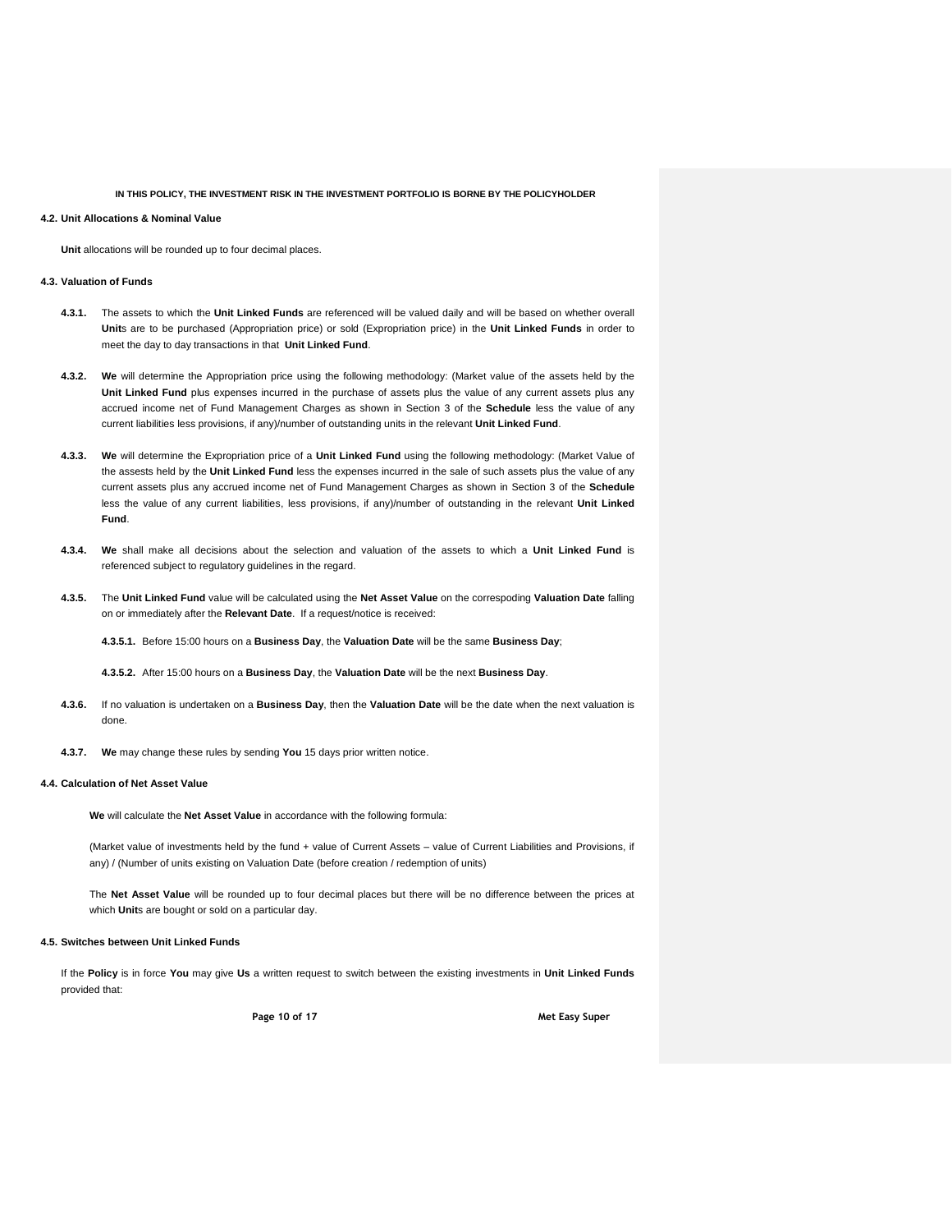### **4.2. Unit Allocations & Nominal Value**

**Unit** allocations will be rounded up to four decimal places.

## **4.3. Valuation of Funds**

- **4.3.1.** The assets to which the **Unit Linked Funds** are referenced will be valued daily and will be based on whether overall **Unit**s are to be purchased (Appropriation price) or sold (Expropriation price) in the **Unit Linked Funds** in order to meet the day to day transactions in that **Unit Linked Fund**.
- **4.3.2. We** will determine the Appropriation price using the following methodology: (Market value of the assets held by the **Unit Linked Fund** plus expenses incurred in the purchase of assets plus the value of any current assets plus any accrued income net of Fund Management Charges as shown in Section 3 of the **Schedule** less the value of any current liabilities less provisions, if any)/number of outstanding units in the relevant **Unit Linked Fund**.
- **4.3.3. We** will determine the Expropriation price of a **Unit Linked Fund** using the following methodology: (Market Value of the assests held by the **Unit Linked Fund** less the expenses incurred in the sale of such assets plus the value of any current assets plus any accrued income net of Fund Management Charges as shown in Section 3 of the **Schedule** less the value of any current liabilities, less provisions, if any)/number of outstanding in the relevant **Unit Linked Fund**.
- **4.3.4. We** shall make all decisions about the selection and valuation of the assets to which a **Unit Linked Fund** is referenced subject to regulatory guidelines in the regard.
- **4.3.5.** The **Unit Linked Fund** value will be calculated using the **Net Asset Value** on the correspoding **Valuation Date** falling on or immediately after the **Relevant Date**. If a request/notice is received:

**4.3.5.1.** Before 15:00 hours on a **Business Day**, the **Valuation Date** will be the same **Business Day**;

**4.3.5.2.** After 15:00 hours on a **Business Day**, the **Valuation Date** will be the next **Business Day**.

- **4.3.6.** If no valuation is undertaken on a **Business Day**, then the **Valuation Date** will be the date when the next valuation is done.
- **4.3.7. We** may change these rules by sending **You** 15 days prior written notice.

#### **4.4. Calculation of Net Asset Value**

**We** will calculate the **Net Asset Value** in accordance with the following formula:

(Market value of investments held by the fund + value of Current Assets – value of Current Liabilities and Provisions, if any) / (Number of units existing on Valuation Date (before creation / redemption of units)

The **Net Asset Value** will be rounded up to four decimal places but there will be no difference between the prices at which **Unit**s are bought or sold on a particular day.

#### **4.5. Switches between Unit Linked Funds**

If the **Policy** is in force **You** may give **Us** a written request to switch between the existing investments in **Unit Linked Funds** provided that:

**Page 10 of 17 Met Easy Super**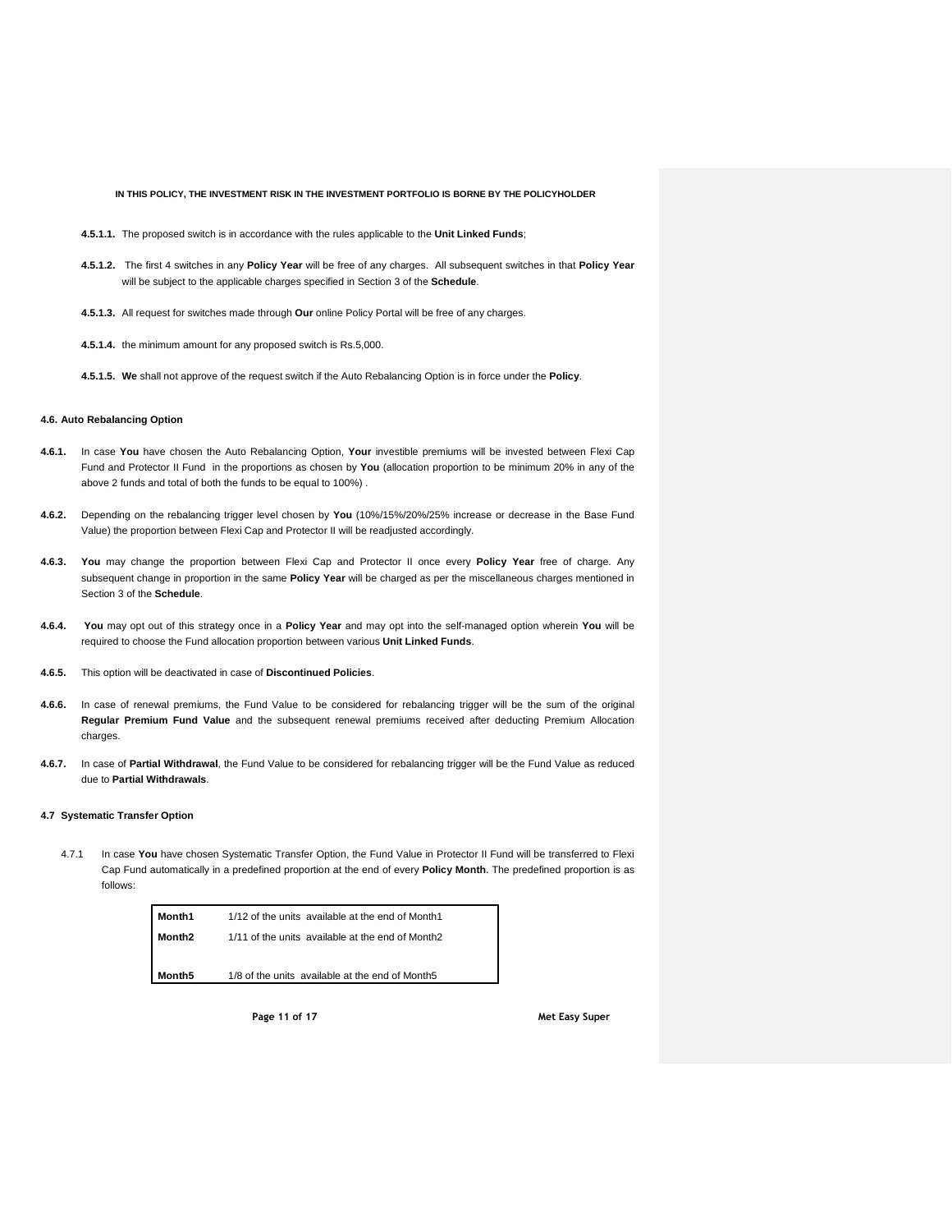- **4.5.1.1.** The proposed switch is in accordance with the rules applicable to the **Unit Linked Funds**;
- **4.5.1.2.** The first 4 switches in any **Policy Year** will be free of any charges. All subsequent switches in that **Policy Year** will be subject to the applicable charges specified in Section 3 of the **Schedule**.
- **4.5.1.3.** All request for switches made through **Our** online Policy Portal will be free of any charges.
- **4.5.1.4.** the minimum amount for any proposed switch is Rs.5,000.
- **4.5.1.5. We** shall not approve of the request switch if the Auto Rebalancing Option is in force under the **Policy**.

## **4.6. Auto Rebalancing Option**

- **4.6.1.** In case **You** have chosen the Auto Rebalancing Option, **Your** investible premiums will be invested between Flexi Cap Fund and Protector II Fund in the proportions as chosen by **You** (allocation proportion to be minimum 20% in any of the above 2 funds and total of both the funds to be equal to 100%) .
- **4.6.2.** Depending on the rebalancing trigger level chosen by **You** (10%/15%/20%/25% increase or decrease in the Base Fund Value) the proportion between Flexi Cap and Protector II will be readjusted accordingly.
- **4.6.3. You** may change the proportion between Flexi Cap and Protector II once every **Policy Year** free of charge. Any subsequent change in proportion in the same **Policy Year** will be charged as per the miscellaneous charges mentioned in Section 3 of the **Schedule**.
- **4.6.4. You** may opt out of this strategy once in a **Policy Year** and may opt into the self-managed option wherein **You** will be required to choose the Fund allocation proportion between various **Unit Linked Funds**.
- **4.6.5.** This option will be deactivated in case of **Discontinued Policies**.
- **4.6.6.** In case of renewal premiums, the Fund Value to be considered for rebalancing trigger will be the sum of the original **Regular Premium Fund Value** and the subsequent renewal premiums received after deducting Premium Allocation charges.
- **4.6.7.** In case of **Partial Withdrawal**, the Fund Value to be considered for rebalancing trigger will be the Fund Value as reduced due to **Partial Withdrawals**.

#### **4.7 Systematic Transfer Option**

4.7.1 In case **You** have chosen Systematic Transfer Option, the Fund Value in Protector II Fund will be transferred to Flexi Cap Fund automatically in a predefined proportion at the end of every **Policy Month**. The predefined proportion is as follows:

| Month1             | 1/12 of the units available at the end of Month1 |
|--------------------|--------------------------------------------------|
| Month <sub>2</sub> | 1/11 of the units available at the end of Month2 |
|                    |                                                  |
| Month <sub>5</sub> | 1/8 of the units available at the end of Month5  |

**Page 11 of 17 Met Easy Super**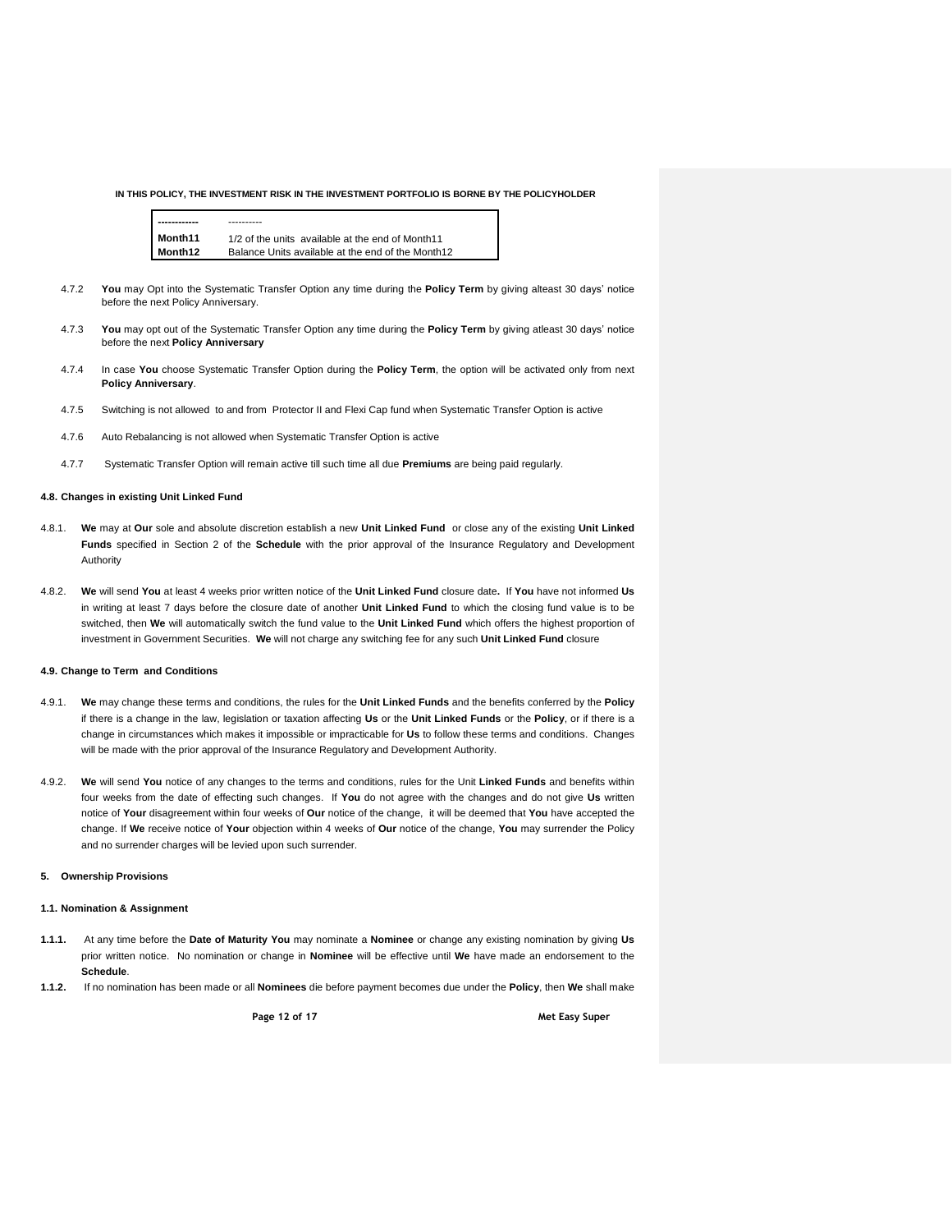

**Month11** 1/2 of the units available at the end of Month11 **Month12** Balance Units available at the end of the Month12

- 4.7.2 **You** may Opt into the Systematic Transfer Option any time during the **Policy Term** by giving alteast 30 days' notice before the next Policy Anniversary.
- 4.7.3 **You** may opt out of the Systematic Transfer Option any time during the **Policy Term** by giving atleast 30 days' notice before the next **Policy Anniversary**
- 4.7.4 In case **You** choose Systematic Transfer Option during the **Policy Term**, the option will be activated only from next **Policy Anniversary**.
- 4.7.5 Switching is not allowed to and from Protector II and Flexi Cap fund when Systematic Transfer Option is active
- 4.7.6 Auto Rebalancing is not allowed when Systematic Transfer Option is active
- 4.7.7 Systematic Transfer Option will remain active till such time all due **Premiums** are being paid regularly.

## **4.8. Changes in existing Unit Linked Fund**

- 4.8.1. **We** may at **Our** sole and absolute discretion establish a new **Unit Linked Fund** or close any of the existing **Unit Linked Funds** specified in Section 2 of the **Schedule** with the prior approval of the Insurance Regulatory and Development Authority
- 4.8.2. **We** will send **You** at least 4 weeks prior written notice of the **Unit Linked Fund** closure date**.** If **You** have not informed **Us** in writing at least 7 days before the closure date of another **Unit Linked Fund** to which the closing fund value is to be switched, then **We** will automatically switch the fund value to the **Unit Linked Fund** which offers the highest proportion of investment in Government Securities. **We** will not charge any switching fee for any such **Unit Linked Fund** closure

#### **4.9. Change to Term and Conditions**

- 4.9.1. **We** may change these terms and conditions, the rules for the **Unit Linked Funds** and the benefits conferred by the **Policy** if there is a change in the law, legislation or taxation affecting **Us** or the **Unit Linked Funds** or the **Policy**, or if there is a change in circumstances which makes it impossible or impracticable for **Us** to follow these terms and conditions. Changes will be made with the prior approval of the Insurance Regulatory and Development Authority.
- 4.9.2. **We** will send **You** notice of any changes to the terms and conditions, rules for the Unit **Linked Funds** and benefits within four weeks from the date of effecting such changes. If **You** do not agree with the changes and do not give **Us** written notice of **Your** disagreement within four weeks of **Our** notice of the change, it will be deemed that **You** have accepted the change. If **We** receive notice of **Your** objection within 4 weeks of **Our** notice of the change, **You** may surrender the Policy and no surrender charges will be levied upon such surrender.

#### **5. Ownership Provisions**

#### **1.1. Nomination & Assignment**

- **1.1.1.** At any time before the **Date of Maturity You** may nominate a **Nominee** or change any existing nomination by giving **Us** prior written notice. No nomination or change in **Nominee** will be effective until **We** have made an endorsement to the **Schedule**.
- **1.1.2.** If no nomination has been made or all **Nominees** die before payment becomes due under the **Policy**, then **We** shall make

**Page 12 of 17 Met Easy Super**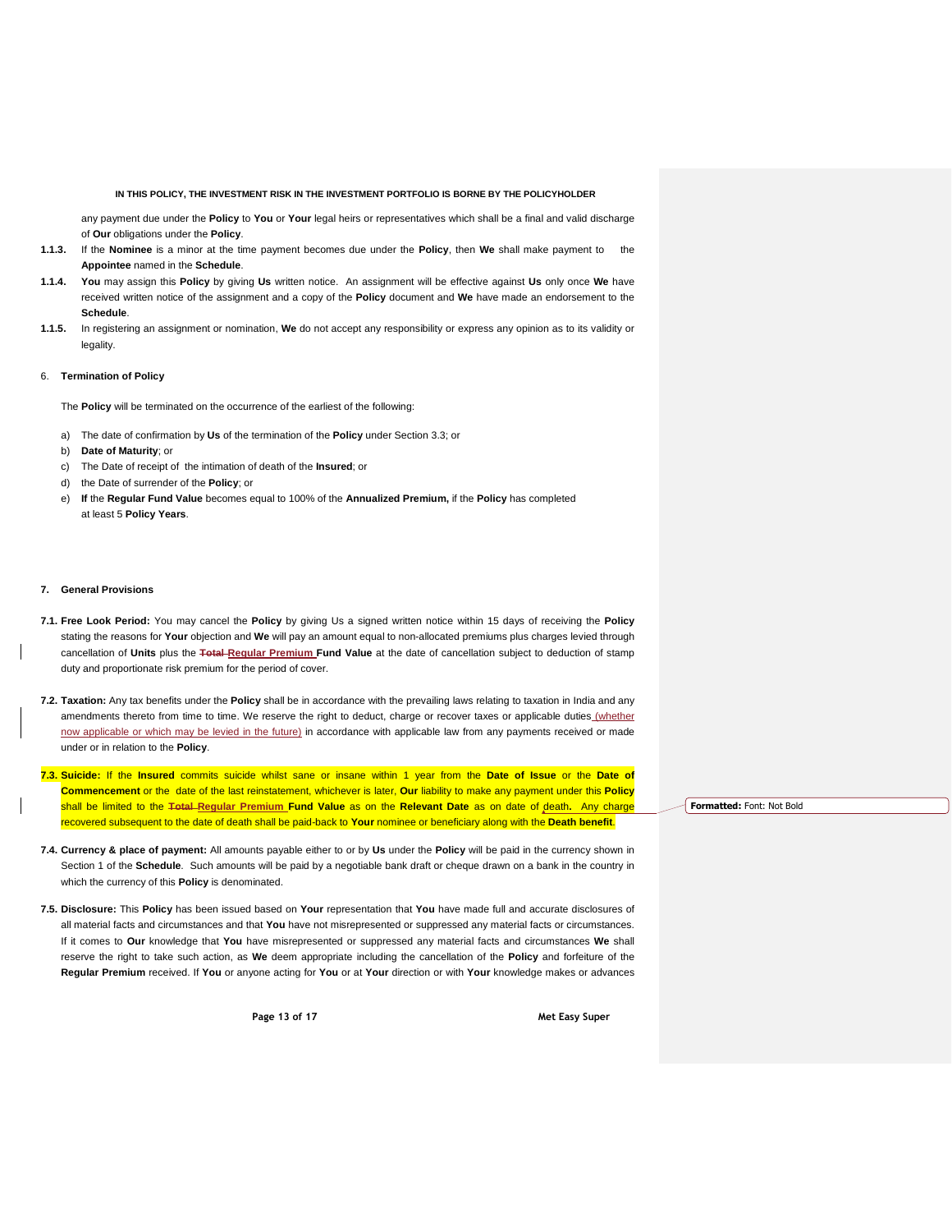any payment due under the **Policy** to **You** or **Your** legal heirs or representatives which shall be a final and valid discharge of **Our** obligations under the **Policy**.

- **1.1.3.** If the **Nominee** is a minor at the time payment becomes due under the **Policy**, then **We** shall make payment to the **Appointee** named in the **Schedule**.
- **1.1.4. You** may assign this **Policy** by giving **Us** written notice. An assignment will be effective against **Us** only once **We** have received written notice of the assignment and a copy of the **Policy** document and **We** have made an endorsement to the **Schedule**.
- **1.1.5.** In registering an assignment or nomination, **We** do not accept any responsibility or express any opinion as to its validity or legality.

#### 6. **Termination of Policy**

The **Policy** will be terminated on the occurrence of the earliest of the following:

- a) The date of confirmation by **Us** of the termination of the **Policy** under Section 3.3; or
- b) **Date of Maturity**; or
- c) The Date of receipt of the intimation of death of the **Insured**; or
- d) the Date of surrender of the **Policy**; or
- e) **If** the **Regular Fund Value** becomes equal to 100% of the **Annualized Premium,** if the **Policy** has completed at least 5 **Policy Years**.

## **7. General Provisions**

- **7.1. Free Look Period:** You may cancel the **Policy** by giving Us a signed written notice within 15 days of receiving the **Policy**  stating the reasons for **Your** objection and **We** will pay an amount equal to non-allocated premiums plus charges levied through cancellation of **Units** plus the **Total Regular Premium Fund Value** at the date of cancellation subject to deduction of stamp duty and proportionate risk premium for the period of cover.
- **7.2. Taxation:** Any tax benefits under the **Policy** shall be in accordance with the prevailing laws relating to taxation in India and any amendments thereto from time to time. We reserve the right to deduct, charge or recover taxes or applicable duties (whether now applicable or which may be levied in the future) in accordance with applicable law from any payments received or made under or in relation to the **Policy**.
- **7.3. Suicide:** If the **Insured** commits suicide whilst sane or insane within 1 year from the **Date of Issue** or the **Date of Commencement** or the date of the last reinstatement, whichever is later, **Our** liability to make any payment under this **Policy** shall be limited to the **Total Regular Premium Fund Value** as on the **Relevant Date** as on date of death**.** Any charge recovered subsequent to the date of death shall be paid-back to **Your** nominee or beneficiary along with the **Death benefit**.
- **7.4. Currency & place of payment:** All amounts payable either to or by **Us** under the **Policy** will be paid in the currency shown in Section 1 of the **Schedule**. Such amounts will be paid by a negotiable bank draft or cheque drawn on a bank in the country in which the currency of this **Policy** is denominated.
- **7.5. Disclosure:** This **Policy** has been issued based on **Your** representation that **You** have made full and accurate disclosures of all material facts and circumstances and that **You** have not misrepresented or suppressed any material facts or circumstances. If it comes to **Our** knowledge that **You** have misrepresented or suppressed any material facts and circumstances **We** shall reserve the right to take such action, as **We** deem appropriate including the cancellation of the **Policy** and forfeiture of the **Regular Premium** received. If **You** or anyone acting for **You** or at **Your** direction or with **Your** knowledge makes or advances

**Page 13 of 17 Met Easy Super**

**Formatted:** Font: Not Bold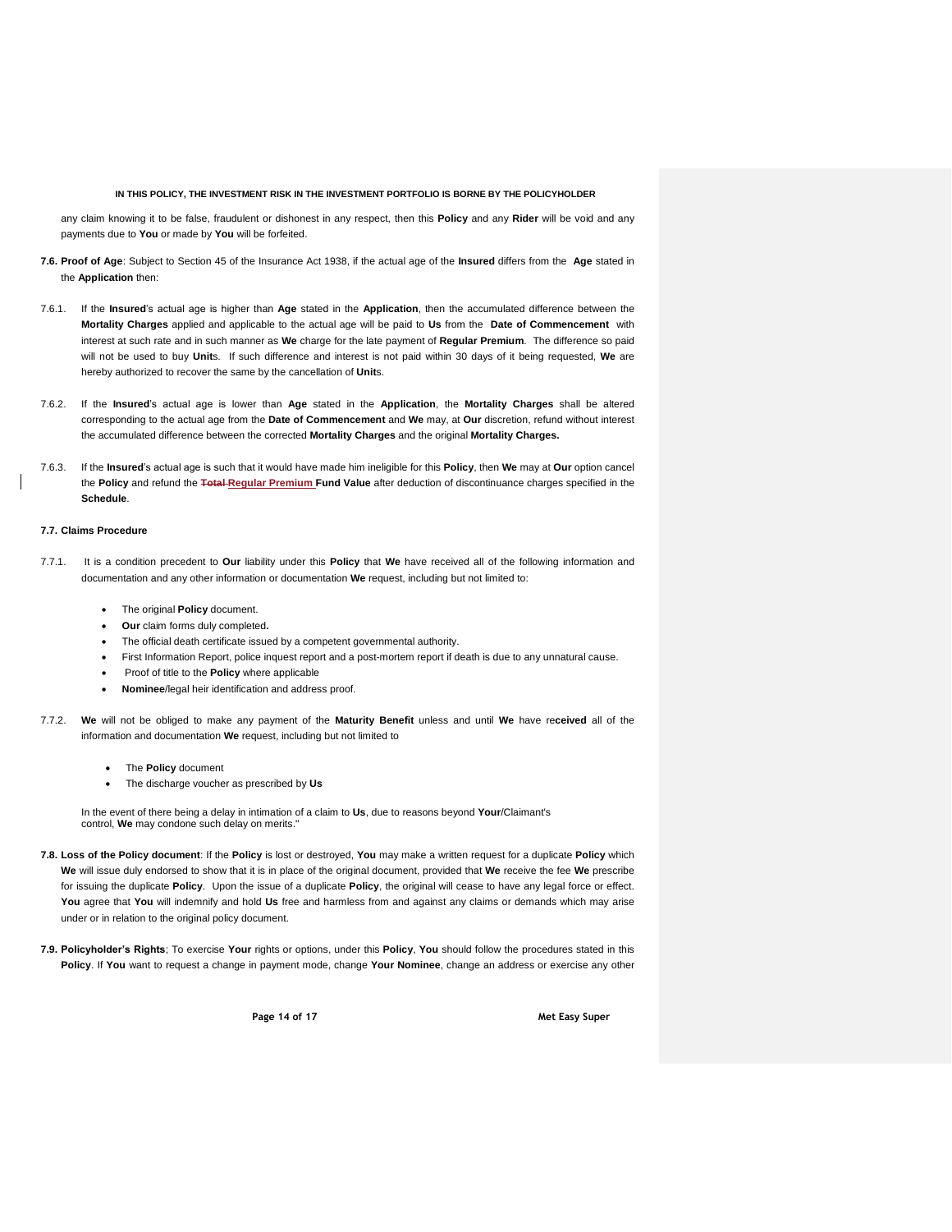any claim knowing it to be false, fraudulent or dishonest in any respect, then this **Policy** and any **Rider** will be void and any payments due to **You** or made by **You** will be forfeited.

- **7.6. Proof of Age**: Subject to Section 45 of the Insurance Act 1938, if the actual age of the **Insured** differs from the **Age** stated in the **Application** then:
- 7.6.1. If the **Insured**'s actual age is higher than **Age** stated in the **Application**, then the accumulated difference between the **Mortality Charges** applied and applicable to the actual age will be paid to **Us** from the **Date of Commencement** with interest at such rate and in such manner as **We** charge for the late payment of **Regular Premium**. The difference so paid will not be used to buy **Unit**s. If such difference and interest is not paid within 30 days of it being requested, **We** are hereby authorized to recover the same by the cancellation of **Unit**s.
- 7.6.2. If the **Insured**'s actual age is lower than **Age** stated in the **Application**, the **Mortality Charges** shall be altered corresponding to the actual age from the **Date of Commencement** and **We** may, at **Our** discretion, refund without interest the accumulated difference between the corrected **Mortality Charges** and the original **Mortality Charges.**
- 7.6.3. If the **Insured**'s actual age is such that it would have made him ineligible for this **Policy**, then **We** may at **Our** option cancel the **Policy** and refund the **Total Regular Premium Fund Value** after deduction of discontinuance charges specified in the **Schedule**.

## **7.7. Claims Procedure**

- 7.7.1. It is a condition precedent to **Our** liability under this **Policy** that **We** have received all of the following information and documentation and any other information or documentation **We** request, including but not limited to:
	- The original **Policy** document.
	- **Our** claim forms duly completed**.**
	- The official death certificate issued by a competent governmental authority.
	- First Information Report, police inquest report and a post-mortem report if death is due to any unnatural cause.
	- Proof of title to the **Policy** where applicable
	- **Nominee**/legal heir identification and address proof.
- 7.7.2. **We** will not be obliged to make any payment of the **Maturity Benefit** unless and until **We** have re**ceived** all of the information and documentation **We** request, including but not limited to
	- The **Policy** document
	- The discharge voucher as prescribed by **Us**

In the event of there being a delay in intimation of a claim to **Us**, due to reasons beyond **Your**/Claimant's control, **We** may condone such delay on merits."

- **7.8. Loss of the Policy document**: If the **Policy** is lost or destroyed, **You** may make a written request for a duplicate **Policy** which **We** will issue duly endorsed to show that it is in place of the original document, provided that **We** receive the fee **We** prescribe for issuing the duplicate **Policy**. Upon the issue of a duplicate **Policy**, the original will cease to have any legal force or effect. **You** agree that **You** will indemnify and hold **Us** free and harmless from and against any claims or demands which may arise under or in relation to the original policy document.
- **7.9. Policyholder's Rights**; To exercise **Your** rights or options, under this **Policy**, **You** should follow the procedures stated in this **Policy**. If **You** want to request a change in payment mode, change **Your Nominee**, change an address or exercise any other

**Page 14 of 17 Met Easy Super**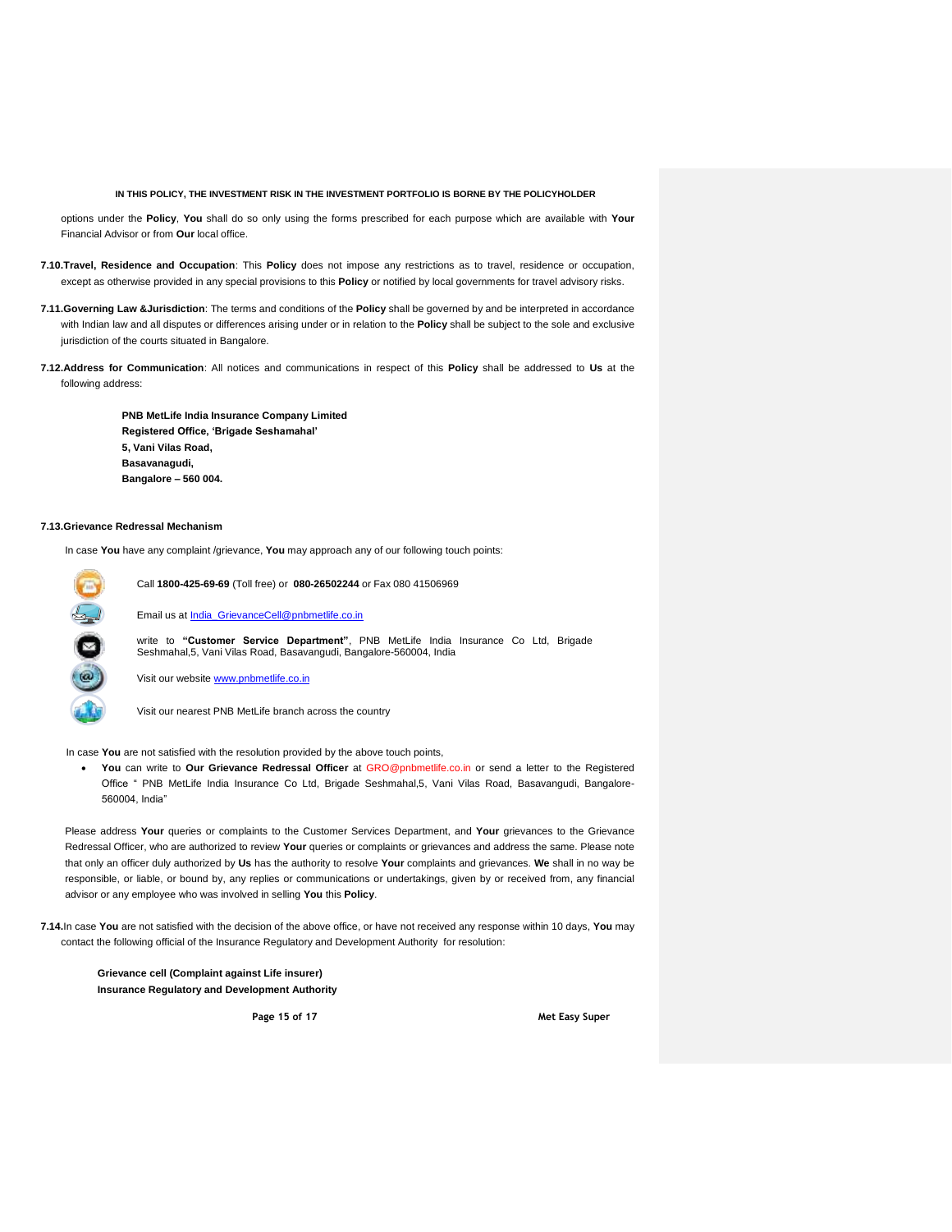options under the **Policy**, **You** shall do so only using the forms prescribed for each purpose which are available with **Your** Financial Advisor or from **Our** local office.

- **7.10.Travel, Residence and Occupation**: This **Policy** does not impose any restrictions as to travel, residence or occupation, except as otherwise provided in any special provisions to this **Policy** or notified by local governments for travel advisory risks.
- **7.11.Governing Law &Jurisdiction**: The terms and conditions of the **Policy** shall be governed by and be interpreted in accordance with Indian law and all disputes or differences arising under or in relation to the **Policy** shall be subject to the sole and exclusive jurisdiction of the courts situated in Bangalore.
- **7.12.Address for Communication**: All notices and communications in respect of this **Policy** shall be addressed to **Us** at the following address:

**PNB MetLife India Insurance Company Limited Registered Office, 'Brigade Seshamahal' 5, Vani Vilas Road, Basavanagudi, Bangalore – 560 004.**

#### **7.13.Grievance Redressal Mechanism**

In case **You** have any complaint /grievance, **You** may approach any of our following touch points:



Call **1800-425-69-69** (Toll free) or **080-26502244** or Fax 080 41506969

Email us at [India\\_GrievanceCell@pnbmetlife.co.in](mailto:India_GrievanceCell@pnbmetlife.co.in)

write to **"Customer Service Department"**, PNB MetLife India Insurance Co Ltd, Brigade Seshmahal,5, Vani Vilas Road, Basavangudi, Bangalore-560004, India

Visit our website [www.pnbmetlife.co.in](http://www.pnbmetlife.co.in/)

Visit our nearest PNB MetLife branch across the country

- In case **You** are not satisfied with the resolution provided by the above touch points,
	- **You** can write to **Our Grievance Redressal Officer** at GRO@pnbmetlife.co.in or send a letter to the Registered Office " PNB MetLife India Insurance Co Ltd, Brigade Seshmahal,5, Vani Vilas Road, Basavangudi, Bangalore-560004, India"

Please address **Your** queries or complaints to the Customer Services Department, and **Your** grievances to the Grievance Redressal Officer, who are authorized to review **Your** queries or complaints or grievances and address the same. Please note that only an officer duly authorized by **Us** has the authority to resolve **Your** complaints and grievances. **We** shall in no way be responsible, or liable, or bound by, any replies or communications or undertakings, given by or received from, any financial advisor or any employee who was involved in selling **You** this **Policy**.

**7.14.**In case **You** are not satisfied with the decision of the above office, or have not received any response within 10 days, **You** may contact the following official of the Insurance Regulatory and Development Authority for resolution:

**Grievance cell (Complaint against Life insurer) Insurance Regulatory and Development Authority** 

**Page 15 of 17 Met Easy Super**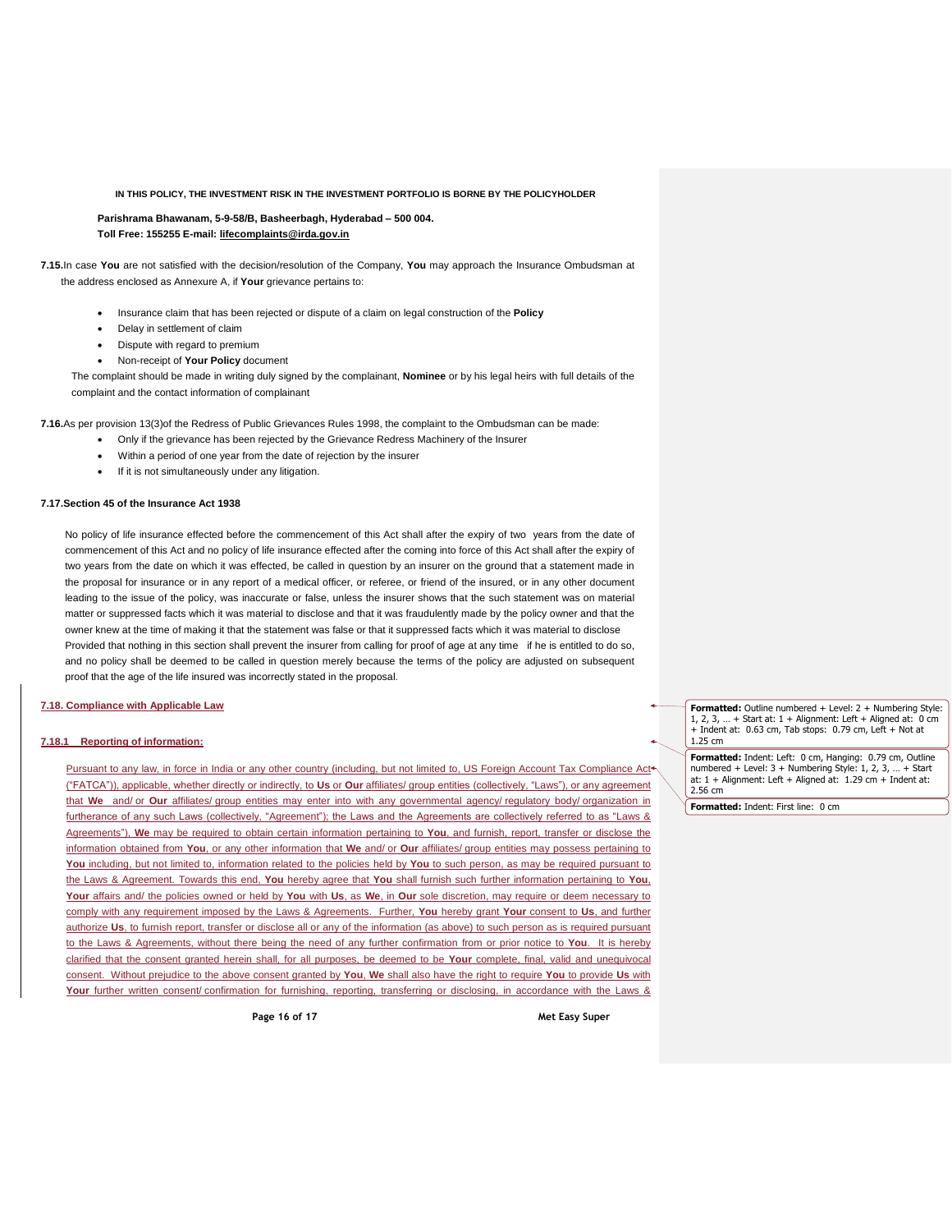**Parishrama Bhawanam, 5-9-58/B, Basheerbagh, Hyderabad – 500 004. Toll Free: 155255 E-mail: [lifecomplaints@irda.gov.in](mailto:lifecomplaints@irda.gov.in)**

**7.15.**In case **You** are not satisfied with the decision/resolution of the Company, **You** may approach the Insurance Ombudsman at the address enclosed as Annexure A, if **Your** grievance pertains to:

- Insurance claim that has been rejected or dispute of a claim on legal construction of the **Policy**
- Delay in settlement of claim
- Dispute with regard to premium
- Non-receipt of **Your Policy** document

The complaint should be made in writing duly signed by the complainant, **Nominee** or by his legal heirs with full details of the complaint and the contact information of complainant

**7.16.**As per provision 13(3)of the Redress of Public Grievances Rules 1998, the complaint to the Ombudsman can be made:

- Only if the grievance has been rejected by the Grievance Redress Machinery of the Insurer
- Within a period of one year from the date of rejection by the insurer
- If it is not simultaneously under any litigation.

## **7.17.Section 45 of the Insurance Act 1938**

No policy of life insurance effected before the commencement of this Act shall after the expiry of two years from the date of commencement of this Act and no policy of life insurance effected after the coming into force of this Act shall after the expiry of two years from the date on which it was effected, be called in question by an insurer on the ground that a statement made in the proposal for insurance or in any report of a medical officer, or referee, or friend of the insured, or in any other document leading to the issue of the policy, was inaccurate or false, unless the insurer shows that the such statement was on material matter or suppressed facts which it was material to disclose and that it was fraudulently made by the policy owner and that the owner knew at the time of making it that the statement was false or that it suppressed facts which it was material to disclose Provided that nothing in this section shall prevent the insurer from calling for proof of age at any time if he is entitled to do so, and no policy shall be deemed to be called in question merely because the terms of the policy are adjusted on subsequent proof that the age of the life insured was incorrectly stated in the proposal.

## **7.18. Compliance with Applicable Law**

## **7.18.1 Reporting of information:**

Pursuant to any law, in force in India or any other country (including, but not limited to, US Foreign Account Tax Compliance Act<sup>4</sup> ("FATCA")), applicable, whether directly or indirectly, to **Us** or **Our** affiliates/ group entities (collectively, "Laws"), or any agreement that **We** and/ or **Our** affiliates/ group entities may enter into with any governmental agency/ regulatory body/ organization in furtherance of any such Laws (collectively, "Agreement"); the Laws and the Agreements are collectively referred to as "Laws & Agreements"), **We** may be required to obtain certain information pertaining to **You**, and furnish, report, transfer or disclose the information obtained from **You**, or any other information that **We** and/ or **Our** affiliates/ group entities may possess pertaining to **You** including, but not limited to, information related to the policies held by **You** to such person, as may be required pursuant to the Laws & Agreement. Towards this end, **You** hereby agree that **You** shall furnish such further information pertaining to **You**, **Your** affairs and/ the policies owned or held by **You** with **Us**, as **We**, in **Our** sole discretion, may require or deem necessary to comply with any requirement imposed by the Laws & Agreements. Further, **You** hereby grant **Your** consent to **Us**, and further authorize **Us**, to furnish report, transfer or disclose all or any of the information (as above) to such person as is required pursuant to the Laws & Agreements, without there being the need of any further confirmation from or prior notice to **You**. It is hereby clarified that the consent granted herein shall, for all purposes, be deemed to be **Your** complete, final, valid and unequivocal consent. Without prejudice to the above consent granted by **You**, **We** shall also have the right to require **You** to provide **Us** with **Your** further written consent/ confirmation for furnishing, reporting, transferring or disclosing, in accordance with the Laws &

**Page 16 of 17 Met Easy Super**

**Formatted:** Outline numbered + Level: 2 + Numbering Style: 1, 2, 3, … + Start at: 1 + Alignment: Left + Aligned at: 0 cm + Indent at: 0.63 cm, Tab stops: 0.79 cm, Left + Not at 1.25 cm

**Formatted:** Indent: Left: 0 cm, Hanging: 0.79 cm, Outline numbered + Level: 3 + Numbering Style: 1, 2, 3, … + Start at: 1 + Alignment: Left + Aligned at: 1.29 cm + Indent at: 2.56 cm

**Formatted:** Indent: First line: 0 cm